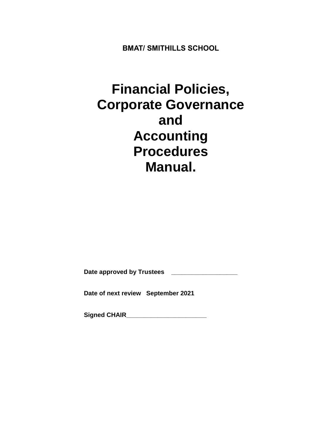**BMAT/ SMITHILLS SCHOOL**

# **Financial Policies, Corporate Governance and Accounting Procedures Manual.**

Date approved by Trustees **Letter** 

**Date of next review September 2021**

**Signed CHAIR\_\_\_\_\_\_\_\_\_\_\_\_\_\_\_\_\_\_\_\_\_\_\_**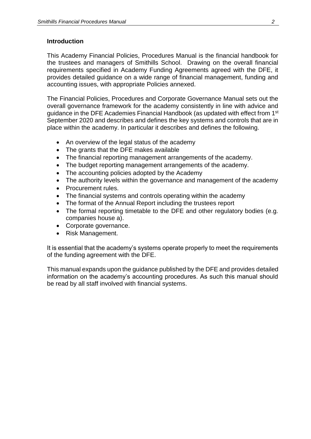#### **Introduction**

This Academy Financial Policies, Procedures Manual is the financial handbook for the trustees and managers of Smithills School. Drawing on the overall financial requirements specified in Academy Funding Agreements agreed with the DFE, it provides detailed guidance on a wide range of financial management, funding and accounting issues, with appropriate Policies annexed.

The Financial Policies, Procedures and Corporate Governance Manual sets out the overall governance framework for the academy consistently in line with advice and guidance in the DFE Academies Financial Handbook (as updated with effect from 1st September 2020 and describes and defines the key systems and controls that are in place within the academy. In particular it describes and defines the following.

- An overview of the legal status of the academy
- The grants that the DFE makes available
- The financial reporting management arrangements of the academy.
- The budget reporting management arrangements of the academy.
- The accounting policies adopted by the Academy
- The authority levels within the governance and management of the academy
- Procurement rules.
- The financial systems and controls operating within the academy
- The format of the Annual Report including the trustees report
- The formal reporting timetable to the DFE and other regulatory bodies (e.g. companies house a).
- Corporate governance.
- Risk Management.

It is essential that the academy's systems operate properly to meet the requirements of the funding agreement with the DFE.

This manual expands upon the guidance published by the DFE and provides detailed information on the academy's accounting procedures. As such this manual should be read by all staff involved with financial systems.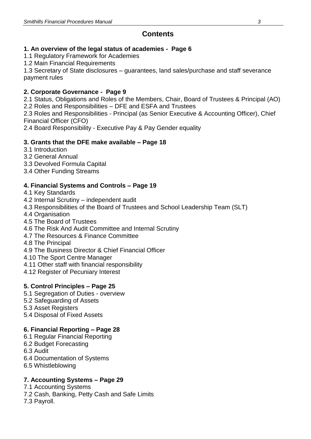# **Contents**

# **1. An overview of the legal status of academies - Page 6**

1.1 Regulatory Framework for Academies

1.2 Main Financial Requirements

1.3 Secretary of State disclosures – guarantees, land sales/purchase and staff severance payment rules

# **2. Corporate Governance - Page 9**

2.1 Status, Obligations and Roles of the Members, Chair, Board of Trustees & Principal (AO) 2.2 Roles and Responsibilities – DFE and ESFA and Trustees

2.3 Roles and Responsibilities - Principal (as Senior Executive & Accounting Officer), Chief Financial Officer (CFO)

2.4 Board Responsibility - Executive Pay & Pay Gender equality

# **3. Grants that the DFE make available – Page 18**

- 3.1 Introduction
- 3.2 General Annual
- 3.3 Devolved Formula Capital
- 3.4 Other Funding Streams

# **4. Financial Systems and Controls – Page 19**

- 4.1 Key Standards
- 4.2 Internal Scrutiny independent audit
- 4.3 Responsibilities of the Board of Trustees and School Leadership Team (SLT)
- 4.4 Organisation
- 4.5 The Board of Trustees
- 4.6 The Risk And Audit Committee and Internal Scrutiny
- 4.7 The Resources & Finance Committee
- 4.8 The Principal
- 4.9 The Business Director & Chief Financial Officer
- 4.10 The Sport Centre Manager
- 4.11 Other staff with financial responsibility
- 4.12 Register of Pecuniary Interest

# **5. Control Principles – Page 25**

- 5.1 Segregation of Duties overview
- 5.2 Safeguarding of Assets
- 5.3 Asset Registers
- 5.4 Disposal of Fixed Assets

# **6. Financial Reporting – Page 28**

- 6.1 Regular Financial Reporting
- 6.2 Budget Forecasting
- 6.3 Audit
- 6.4 Documentation of Systems
- 6.5 Whistleblowing

# **7. Accounting Systems – Page 29**

7.1 Accounting Systems

- 7.2 Cash, Banking, Petty Cash and Safe Limits
- 7.3 Payroll.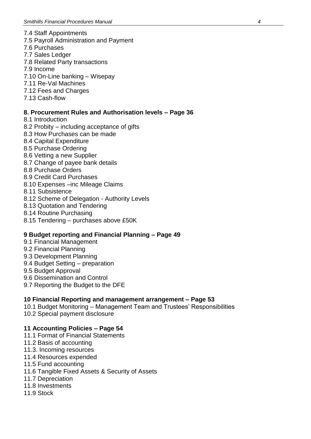- 7.4 Staff Appointments
- 7.5 Payroll Administration and Payment
- 7.6 Purchases
- 7.7 Sales Ledger
- 7.8 Related Party transactions
- 7.9 Income
- 7.10 On-Line banking Wisepay
- 7.11 Re-Val Machines
- 7.12 Fees and Charges
- 7.13 Cash-flow

# **8. Procurement Rules and Authorisation levels – Page 36**

- 8.1 Introduction
- 8.2 Probity including acceptance of gifts
- 8.3 How Purchases can be made
- 8.4 Capital Expenditure
- 8.5 Purchase Ordering
- 8.6 Vetting a new Supplier
- 8.7 Change of payee bank details
- 8.8 Purchase Orders
- 8.9 Credit Card Purchases
- 8.10 Expenses –inc Mileage Claims
- 8.11 Subsistence
- 8.12 Scheme of Delegation Authority Levels
- 8.13 Quotation and Tendering
- 8.14 Routine Purchasing
- 8.15 Tendering purchases above £50K

# **9 Budget reporting and Financial Planning – Page 49**

- 9.1 Financial Management
- 9.2 Financial Planning
- 9.3 Development Planning
- 9.4 Budget Setting preparation
- 9.5 Budget Approval
- 9.6 Dissemination and Control
- 9.7 Reporting the Budget to the DFE

# **10 Financial Reporting and management arrangement – Page 53**

- 10.1 Budget Monitoring Management Team and Trustees' Responsibilities
- 10.2 Special payment disclosure

#### **11 Accounting Policies – Page 54**

- 11.1 Format of Financial Statements
- 11.2 Basis of accounting
- 11.3. Incoming resources
- 11.4 Resources expended
- 11.5 Fund accounting
- 11.6 Tangible Fixed Assets & Security of Assets
- 11.7 Depreciation
- 11.8 Investments
- 11.9 Stock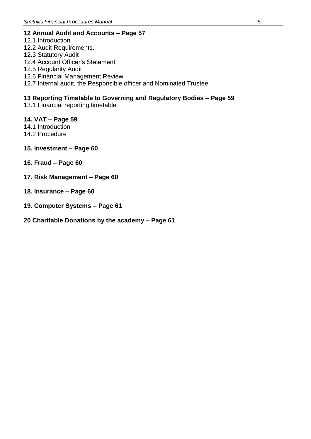# **12 Annual Audit and Accounts – Page 57**

- 12.1 Introduction 12.2 Audit Requirements.
- 12.3 Statutory Audit
- 12.4 Account Officer's Statement
- 12.5 Regularity Audit
- 12.6 Financial Management Review
- 12.7 Internal audit, the Responsible officer and Nominated Trustee

# **13 Reporting Timetable to Governing and Regulatory Bodies – Page 59**

13.1 Financial reporting timetable

# **14. VAT – Page 59**

- 14.1 Introduction
- 14.2 Procedure
- **15. Investment – Page 60**
- **16. Fraud – Page 60**
- **17. Risk Management – Page 60**
- **18. Insurance – Page 60**
- **19. Computer Systems – Page 61**
- **20 Charitable Donations by the academy – Page 61**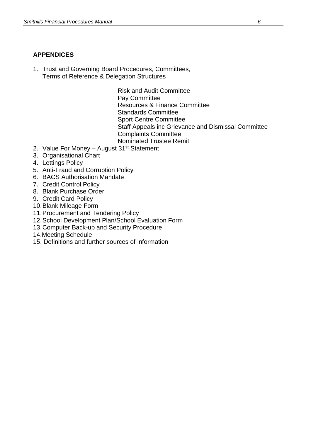# **APPENDICES**

1. Trust and Governing Board Procedures, Committees, Terms of Reference & Delegation Structures

> Risk and Audit Committee Pay Committee Resources & Finance Committee Standards Committee Sport Centre Committee Staff Appeals inc Grievance and Dismissal Committee Complaints Committee Nominated Trustee Remit

- 2. Value For Money August  $31<sup>st</sup>$  Statement
- 3. Organisational Chart
- 4. Lettings Policy
- 5. Anti-Fraud and Corruption Policy
- 6. BACS Authorisation Mandate
- 7. Credit Control Policy
- 8. Blank Purchase Order
- 9. Credit Card Policy
- 10.Blank Mileage Form
- 11.Procurement and Tendering Policy
- 12.School Development Plan/School Evaluation Form
- 13.Computer Back-up and Security Procedure
- 14.Meeting Schedule
- 15. Definitions and further sources of information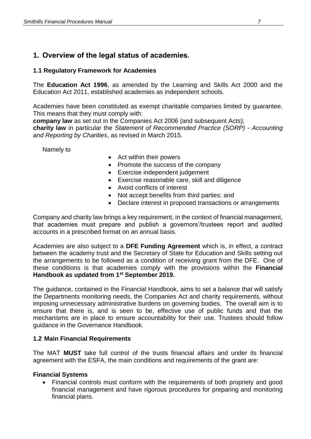# **1. Overview of the legal status of academies.**

# **1.1 Regulatory Framework for Academies**

The **Education Act 1996**, as amended by the Learning and Skills Act 2000 and the Education Act 2011, established academies as independent schools.

Academies have been constituted as exempt charitable companies limited by guarantee. This means that they must comply with:

**company law** as set out in the Companies Act 2006 (and subsequent Acts);

**charity law** in particular the *Statement of Recommended Practice (SORP) - Accounting and Reporting by Charities*, as revised in March 2015.

Namely to

- Act within their powers
- Promote the success of the company
- Exercise independent judgement
- Exercise reasonable care, skill and diligence
- Avoid conflicts of interest
- Not accept benefits from third parties: and
- Declare interest in proposed transactions or arrangements

Company and charity law brings a key requirement, in the context of financial management, that academies must prepare and publish a governors'/trustees report and audited accounts in a prescribed format on an annual basis.

Academies are also subject to a **DFE Funding Agreement** which is, in effect, a contract between the academy trust and the Secretary of State for Education and Skills setting out the arrangements to be followed as a condition of receiving grant from the DFE. One of these conditions is that academies comply with the provisions within the **Financial Handbook as updated from 1st September 2019.**

The guidance, contained in the Financial Handbook, aims to set a balance that will satisfy the Departments monitoring needs, the Companies Act and charity requirements, without imposing unnecessary administrative burdens on governing bodies. The overall aim is to ensure that there is, and is seen to be, effective use of public funds and that the mechanisms are in place to ensure accountability for their use. Trustees should follow guidance in the Governance Handbook.

# **1.2 Main Financial Requirements**

The MAT **MUST** take full control of the trusts financial affairs and under its financial agreement with the ESFA, the main conditions and requirements of the grant are:

# **Financial Systems**

 Financial controls must conform with the requirements of both propriety and good financial management and have rigorous procedures for preparing and monitoring financial plans.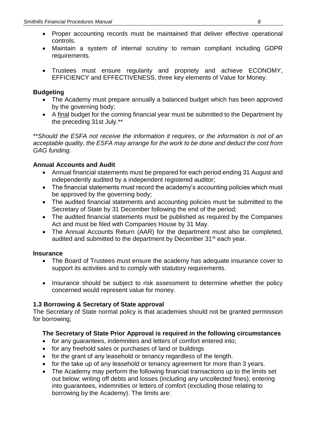- Proper accounting records must be maintained that deliver effective operational controls.
- Maintain a system of internal scrutiny to remain compliant including GDPR requirements.
- Trustees must ensure regularity and propriety and achieve ECONOMY, EFFICIENCY and EFFECTIVENESS, three key elements of Value for Money.

# **Budgeting**

- The Academy must prepare annually a balanced budget which has been approved by the governing body;
- A final budget for the coming financial year must be submitted to the Department by the preceding 31st July.\*\*

\*\**Should the ESFA not receive the information it requires, or the information is not of an acceptable quality, the ESFA may arrange for the work to be done and deduct the cost from GAG funding.*

# **Annual Accounts and Audit**

- Annual financial statements must be prepared for each period ending 31 August and independently audited by a independent registered auditor;
- The financial statements must record the academy's accounting policies which must be approved by the governing body;
- The audited financial statements and accounting policies must be submitted to the Secretary of State by 31 December following the end of the period;
- The audited financial statements must be published as required by the Companies Act and must be filed with Companies House by 31 May.
- The Annual Accounts Return (AAR) for the department must also be completed, audited and submitted to the department by December 31<sup>st</sup> each year.

# **Insurance**

- The Board of Trustees must ensure the academy has adequate insurance cover to support its activities and to comply with statutory requirements.
- Insurance should be subject to risk assessment to determine whether the policy concerned would represent value for money.

# **1.3 Borrowing & Secretary of State approval**

The Secretary of State normal policy is that academies should not be granted permission for borrowing;

# **The Secretary of State Prior Approval is required in the following circumstances**

- for any guarantees, indemnities and letters of comfort entered into;
- for any freehold sales or purchases of land or buildings
- for the grant of any leasehold or tenancy regardless of the length.
- for the take up of any leasehold or tenancy agreement for more than 3 years.
- The Academy may perform the following financial transactions up to the limits set out below: writing off debts and losses (including any uncollected fines); entering into guarantees, indemnities or letters of comfort (excluding those relating to borrowing by the Academy). The limits are: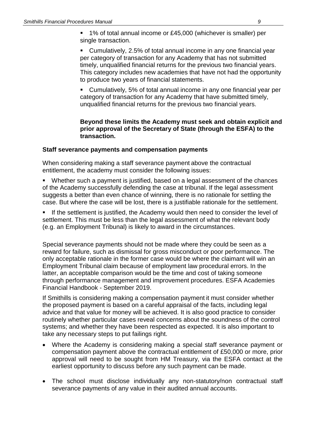- 1% of total annual income or £45,000 (whichever is smaller) per single transaction.
- Cumulatively, 2.5% of total annual income in any one financial year per category of transaction for any Academy that has not submitted timely, unqualified financial returns for the previous two financial years. This category includes new academies that have not had the opportunity to produce two years of financial statements.
- Cumulatively, 5% of total annual income in any one financial year per category of transaction for any Academy that have submitted timely, unqualified financial returns for the previous two financial years.

#### **Beyond these limits the Academy must seek and obtain explicit and prior approval of the Secretary of State (through the ESFA) to the transaction.**

#### **Staff severance payments and compensation payments**

When considering making a staff severance payment above the contractual entitlement, the academy must consider the following issues:

- Whether such a payment is justified, based on a legal assessment of the chances of the Academy successfully defending the case at tribunal. If the legal assessment suggests a better than even chance of winning, there is no rationale for settling the case. But where the case will be lost, there is a justifiable rationale for the settlement.
- **If the settlement is justified, the Academy would then need to consider the level of** settlement. This must be less than the legal assessment of what the relevant body (e.g. an Employment Tribunal) is likely to award in the circumstances.

Special severance payments should not be made where they could be seen as a reward for failure, such as dismissal for gross misconduct or poor performance. The only acceptable rationale in the former case would be where the claimant will win an Employment Tribunal claim because of employment law procedural errors. In the latter, an acceptable comparison would be the time and cost of taking someone through performance management and improvement procedures. ESFA Academies Financial Handbook - September 2019.

If Smithills is considering making a compensation payment it must consider whether the proposed payment is based on a careful appraisal of the facts, including legal advice and that value for money will be achieved. It is also good practice to consider routinely whether particular cases reveal concerns about the soundness of the control systems; and whether they have been respected as expected. It is also important to take any necessary steps to put failings right.

- Where the Academy is considering making a special staff severance payment or compensation payment above the contractual entitlement of £50,000 or more, prior approval will need to be sought from HM Treasury, via the ESFA contact at the earliest opportunity to discuss before any such payment can be made.
- The school must disclose individually any non-statutory/non contractual staff severance payments of any value in their audited annual accounts.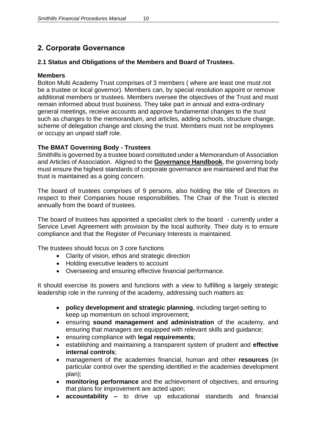# **2. Corporate Governance**

# **2.1 Status and Obligations of the Members and Board of Trustees.**

# **Members**

Bolton Multi Academy Trust comprises of 3 members ( where are least one must not be a trustee or local governor). Members can, by special resolution appoint or remove additional members or trustees. Members oversee the objectives of the Trust and must remain informed about trust business. They take part in annual and extra-ordinary general meetings, receive accounts and approve fundamental changes to the trust such as changes to the memorandum, and articles, adding schools, structure change, scheme of delegation change and closing the trust. Members must not be employees or occupy an unpaid staff role.

# **The BMAT Governing Body - Trustees**

Smithills is governed by a trustee board constituted under a Memorandum of Association and Articles of Association. Aligned to the **Governance Handbook**, the governing body must ensure the highest standards of corporate governance are maintained and that the trust is maintained as a going concern.

The board of trustees comprises of 9 persons, also holding the title of Directors in respect to their Companies house responsibilities. The Chair of the Trust is elected annually from the board of trustees.

The board of trustees has appointed a specialist clerk to the board - currently under a Service Level Agreement with provision by the local authority. Their duty is to ensure compliance and that the Register of Pecuniary Interests is maintained.

The trustees should focus on 3 core functions

- Clarity of vision, ethos and strategic direction
- Holding executive leaders to account
- Overseeing and ensuring effective financial performance.

It should exercise its powers and functions with a view to fulfilling a largely strategic leadership role in the running of the academy, addressing such matters as:

- **policy development and strategic planning**, including target-setting to keep up momentum on school improvement;
- ensuring **sound management and administration** of the academy, and ensuring that managers are equipped with relevant skills and guidance;
- ensuring compliance with **legal requirements**;
- establishing and maintaining a transparent system of prudent and **effective internal controls**;
- management of the academies financial, human and other **resources** (in particular control over the spending identified in the academies development plan);
- **monitoring performance** and the achievement of objectives, and ensuring that plans for improvement are acted upon;
- **accountability –** to drive up educational standards and financial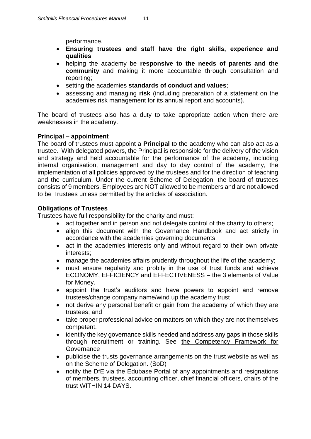performance.

- **Ensuring trustees and staff have the right skills, experience and qualities**
- helping the academy be **responsive to the needs of parents and the community** and making it more accountable through consultation and reporting;
- setting the academies **standards of conduct and values**;
- assessing and managing **risk** (including preparation of a statement on the academies risk management for its annual report and accounts).

The board of trustees also has a duty to take appropriate action when there are weaknesses in the academy.

# **Principal – appointment**

The board of trustees must appoint a **Principal** to the academy who can also act as a trustee. With delegated powers, the Principal is responsible for the delivery of the vision and strategy and held accountable for the performance of the academy, including internal organisation, management and day to day control of the academy, the implementation of all policies approved by the trustees and for the direction of teaching and the curriculum. Under the current Scheme of Delegation, the board of trustees consists of 9 members. Employees are NOT allowed to be members and are not allowed to be Trustees unless permitted by the articles of association.

# **Obligations of Trustees**

Trustees have full responsibility for the charity and must:

- act together and in person and not delegate control of the charity to others;
- align this document with the Governance Handbook and act strictly in accordance with the academies governing documents;
- act in the academies interests only and without regard to their own private interests;
- manage the academies affairs prudently throughout the life of the academy;
- must ensure regularity and probity in the use of trust funds and achieve ECONOMY, EFFICIENCY and EFFECTIVENESS – the 3 elements of Value for Money.
- appoint the trust's auditors and have powers to appoint and remove trustees/change company name/wind up the academy trust
- not derive any personal benefit or gain from the academy of which they are trustees; and
- take proper professional advice on matters on which they are not themselves competent.
- identify the key governance skills needed and address any gaps in those skills through recruitment or training. See the Competency Framework for **Governance**
- publicise the trusts governance arrangements on the trust website as well as on the Scheme of Delegation. (SoD)
- notify the DfE via the Edubase Portal of any appointments and resignations of members, trustees. accounting officer, chief financial officers, chairs of the trust WITHIN 14 DAYS.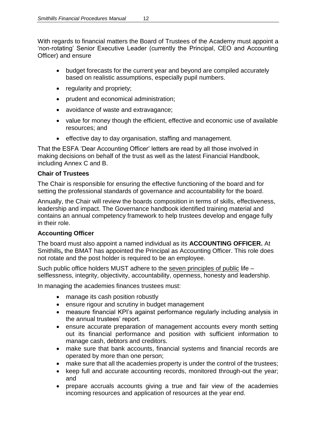With regards to financial matters the Board of Trustees of the Academy must appoint a 'non-rotating' Senior Executive Leader (currently the Principal, CEO and Accounting Officer) and ensure

- budget forecasts for the current year and beyond are compiled accurately based on realistic assumptions, especially pupil numbers.
- regularity and propriety;
- prudent and economical administration;
- avoidance of waste and extravagance;
- value for money though the efficient, effective and economic use of available resources; and
- effective day to day organisation, staffing and management.

That the ESFA 'Dear Accounting Officer' letters are read by all those involved in making decisions on behalf of the trust as well as the latest Financial Handbook, including Annex C and B.

# **Chair of Trustees**

The Chair is responsible for ensuring the effective functioning of the board and for setting the professional standards of governance and accountability for the board.

Annually, the Chair will review the boards composition in terms of skills, effectiveness, leadership and impact. The Governance handbook identified training material and contains an annual competency framework to help trustees develop and engage fully in their role.

# **Accounting Officer**

The board must also appoint a named individual as its **ACCOUNTING OFFICER.** At Smithills**,** the BMAT has appointed the Principal as Accounting Officer. This role does not rotate and the post holder is required to be an employee.

Such public office holders MUST adhere to the seven principles of public life – selflessness, integrity, objectivity, accountability, openness, honesty and leadership.

In managing the academies finances trustees must:

- manage its cash position robustly
- ensure rigour and scrutiny in budget management
- measure financial KPI's against performance regularly including analysis in the annual trustees' report.
- ensure accurate preparation of management accounts every month setting out its financial performance and position with sufficient information to manage cash, debtors and creditors.
- make sure that bank accounts, financial systems and financial records are operated by more than one person;
- make sure that all the academies property is under the control of the trustees:
- keep full and accurate accounting records, monitored through-out the year; and
- prepare accruals accounts giving a true and fair view of the academies incoming resources and application of resources at the year end.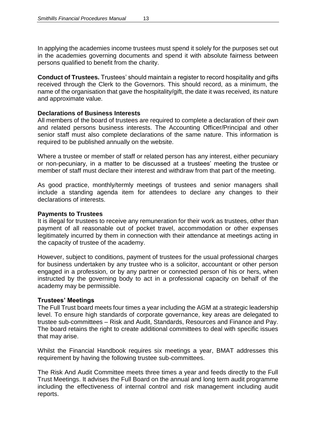In applying the academies income trustees must spend it solely for the purposes set out in the academies governing documents and spend it with absolute fairness between persons qualified to benefit from the charity.

**Conduct of Trustees.** Trustees' should maintain a register to record hospitality and gifts received through the Clerk to the Governors. This should record, as a minimum, the name of the organisation that gave the hospitality/gift, the date it was received, its nature and approximate value.

#### **Declarations of Business Interests**

All members of the board of trustees are required to complete a declaration of their own and related persons business interests. The Accounting Officer/Principal and other senior staff must also complete declarations of the same nature. This information is required to be published annually on the website.

Where a trustee or member of staff or related person has any interest, either pecuniary or non-pecuniary, in a matter to be discussed at a trustees' meeting the trustee or member of staff must declare their interest and withdraw from that part of the meeting.

As good practice, monthly/termly meetings of trustees and senior managers shall include a standing agenda item for attendees to declare any changes to their declarations of interests.

#### **Payments to Trustees**

It is illegal for trustees to receive any remuneration for their work as trustees, other than payment of all reasonable out of pocket travel, accommodation or other expenses legitimately incurred by them in connection with their attendance at meetings acting in the capacity of trustee of the academy.

However, subject to conditions, payment of trustees for the usual professional charges for business undertaken by any trustee who is a solicitor, accountant or other person engaged in a profession, or by any partner or connected person of his or hers, when instructed by the governing body to act in a professional capacity on behalf of the academy may be permissible.

#### **Trustees' Meetings**

The Full Trust board meets four times a year including the AGM at a strategic leadership level. To ensure high standards of corporate governance, key areas are delegated to trustee sub-committees – Risk and Audit, Standards, Resources and Finance and Pay. The board retains the right to create additional committees to deal with specific issues that may arise.

Whilst the Financial Handbook requires six meetings a year, BMAT addresses this requirement by having the following trustee sub-committees.

The Risk And Audit Committee meets three times a year and feeds directly to the Full Trust Meetings. It advises the Full Board on the annual and long term audit programme including the effectiveness of internal control and risk management including audit reports.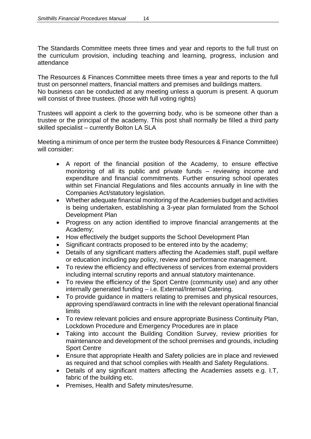The Standards Committee meets three times and year and reports to the full trust on the curriculum provision, including teaching and learning, progress, inclusion and attendance

The Resources & Finances Committee meets three times a year and reports to the full trust on personnel matters, financial matters and premises and buildings matters. No business can be conducted at any meeting unless a quorum is present. A quorum will consist of three trustees. (those with full voting rights)

Trustees will appoint a clerk to the governing body, who is be someone other than a trustee or the principal of the academy. This post shall normally be filled a third party skilled specialist – currently Bolton LA SLA

Meeting a minimum of once per term the trustee body Resources & Finance Committee) will consider:

- A report of the financial position of the Academy, to ensure effective monitoring of all its public and private funds – reviewing income and expenditure and financial commitments. Further ensuring school operates within set Financial Regulations and files accounts annually in line with the Companies Act/statutory legislation.
- Whether adequate financial monitoring of the Academies budget and activities is being undertaken, establishing a 3-year plan formulated from the School Development Plan
- Progress on any action identified to improve financial arrangements at the Academy;
- How effectively the budget supports the School Development Plan
- Significant contracts proposed to be entered into by the academy;
- Details of any significant matters affecting the Academies staff, pupil welfare or education including pay policy, review and performance management.
- To review the efficiency and effectiveness of services from external providers including internal scrutiny reports and annual statutory maintenance.
- To review the efficiency of the Sport Centre (community use) and any other internally generated funding – i.e. External/Internal Catering.
- To provide guidance in matters relating to premises and physical resources, approving spend/award contracts in line with the relevant operational financial limits
- To review relevant policies and ensure appropriate Business Continuity Plan, Lockdown Procedure and Emergency Procedures are in place
- Taking into account the Building Condition Survey, review priorities for maintenance and development of the school premises and grounds, including Sport Centre
- Ensure that appropriate Health and Safety policies are in place and reviewed as required and that school complies with Health and Safety Regulations.
- Details of any significant matters affecting the Academies assets e.g. I.T, fabric of the building etc.
- Premises, Health and Safety minutes/resume.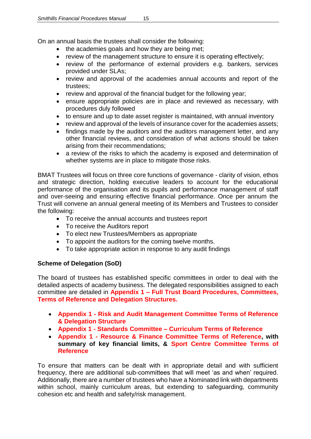On an annual basis the trustees shall consider the following:

- the academies goals and how they are being met;
- review of the management structure to ensure it is operating effectively;
- review of the performance of external providers e.g. bankers, services provided under SLAs;
- review and approval of the academies annual accounts and report of the trustees;
- review and approval of the financial budget for the following year;
- ensure appropriate policies are in place and reviewed as necessary, with procedures duly followed
- to ensure and up to date asset register is maintained, with annual inventory
- review and approval of the levels of insurance cover for the academies assets;
- findings made by the auditors and the auditors management letter, and any other financial reviews, and consideration of what actions should be taken arising from their recommendations;
- a review of the risks to which the academy is exposed and determination of whether systems are in place to mitigate those risks.

BMAT Trustees will focus on three core functions of governance - clarity of vision, ethos and strategic direction, holding executive leaders to account for the educational performance of the organisation and its pupils and performance management of staff and over-seeing and ensuring effective financial performance. Once per annum the Trust will convene an annual general meeting of its Members and Trustees to consider the following:

- To receive the annual accounts and trustees report
- To receive the Auditors report
- To elect new Trustees/Members as appropriate
- To appoint the auditors for the coming twelve months.
- To take appropriate action in response to any audit findings

# **Scheme of Delegation (SoD)**

The board of trustees has established specific committees in order to deal with the detailed aspects of academy business. The delegated responsibilities assigned to each committee are detailed in **Appendix 1 – Full Trust Board Procedures, Committees, Terms of Reference and Delegation Structures.**

- **Appendix 1 - Risk and Audit Management Committee Terms of Reference & Delegation Structure**
- **Appendix 1 - Standards Committee – Curriculum Terms of Reference**
- **Appendix 1 - Resource & Finance Committee Terms of Reference, with summary of key financial limits, & Sport Centre Committee Terms of Reference**

To ensure that matters can be dealt with in appropriate detail and with sufficient frequency, there are additional sub-committees that will meet 'as and when' required. Additionally, there are a number of trustees who have a Nominated link with departments within school, mainly curriculum areas, but extending to safeguarding, community cohesion etc and health and safety/risk management.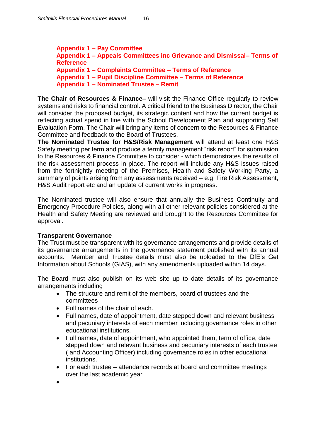**Appendix 1 – Pay Committee Appendix 1 – Appeals Committees inc Grievance and Dismissal– Terms of Reference Appendix 1 – Complaints Committee – Terms of Reference Appendix 1 – Pupil Discipline Committee – Terms of Reference Appendix 1 – Nominated Trustee – Remit**

**The Chair of Resources & Finance–** will visit the Finance Office regularly to review systems and risks to financial control. A critical friend to the Business Director, the Chair will consider the proposed budget, its strategic content and how the current budget is reflecting actual spend in line with the School Development Plan and supporting Self Evaluation Form. The Chair will bring any items of concern to the Resources & Finance Committee and feedback to the Board of Trustees.

**The Nominated Trustee for H&S/Risk Management** will attend at least one H&S Safety meeting per term and produce a termly management "risk report" for submission to the Resources & Finance Committee to consider - which demonstrates the results of the risk assessment process in place. The report will include any H&S issues raised from the fortnightly meeting of the Premises, Health and Safety Working Party, a summary of points arising from any assessments received – e.g. Fire Risk Assessment, H&S Audit report etc and an update of current works in progress.

The Nominated trustee will also ensure that annually the Business Continuity and Emergency Procedure Policies, along with all other relevant policies considered at the Health and Safety Meeting are reviewed and brought to the Resources Committee for approval.

#### **Transparent Governance**

The Trust must be transparent with its governance arrangements and provide details of its governance arrangements in the governance statement published with its annual accounts. Member and Trustee details must also be uploaded to the DfE's Get Information about Schools (GIAS), with any amendments uploaded within 14 days.

The Board must also publish on its web site up to date details of its governance arrangements including

- The structure and remit of the members, board of trustees and the committees
- Full names of the chair of each.
- Full names, date of appointment, date stepped down and relevant business and pecuniary interests of each member including governance roles in other educational institutions.
- Full names, date of appointment, who appointed them, term of office, date stepped down and relevant business and pecuniary interests of each trustee ( and Accounting Officer) including governance roles in other educational institutions.
- For each trustee attendance records at board and committee meetings over the last academic year
- $\bullet$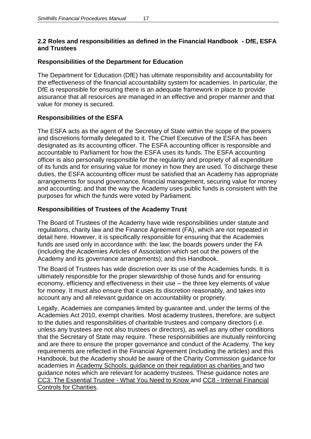# **2.2 Roles and responsibilities as defined in the Financial Handbook - DfE, ESFA and Trustees**

# **Responsibilities of the Department for Education**

The Department for Education (DfE) has ultimate responsibility and accountability for the effectiveness of the financial accountability system for academies. In particular, the DfE is responsible for ensuring there is an adequate framework in place to provide assurance that all resources are managed in an effective and proper manner and that value for money is secured.

# **Responsibilities of the ESFA**

The ESFA acts as the agent of the Secretary of State within the scope of the powers and discretions formally delegated to it. The Chief Executive of the ESFA has been designated as its accounting officer. The ESFA accounting officer is responsible and accountable to Parliament for how the ESFA uses its funds. The ESFA accounting officer is also personally responsible for the regularity and propriety of all expenditure of its funds and for ensuring value for money in how they are used. To discharge these duties, the ESFA accounting officer must be satisfied that an Academy has appropriate arrangements for sound governance, financial management, securing value for money and accounting; and that the way the Academy uses public funds is consistent with the purposes for which the funds were voted by Parliament.

# **Responsibilities of Trustees of the Academy Trust**

The Board of Trustees of the Academy have wide responsibilities under statute and regulations, charity law and the Finance Agreement (FA), which are not repeated in detail here. However, it is specifically responsible for ensuring that the Academies funds are used only in accordance with: the law; the boards powers under the FA (including the Academies Articles of Association which set out the powers of the Academy and its governance arrangements); and this Handbook.

The Board of Trustees has wide discretion over its use of the Academies funds. It is ultimately responsible for the proper stewardship of those funds and for ensuring economy, efficiency and effectiveness in their use – the three key elements of value for money. It must also ensure that it uses its discretion reasonably, and takes into account any and all relevant guidance on accountability or propriety.

Legally, Academies are companies limited by guarantee and, under the terms of the Academies Act 2010, exempt charities. Most academy trustees, therefore, are subject to the duties and responsibilities of charitable trustees and company directors (i.e. unless any trustees are not also trustees or directors), as well as any other conditions that the Secretary of State may require. These responsibilities are mutually reinforcing and are there to ensure the proper governance and conduct of the Academy. The key requirements are reflected in the Financial Agreement (including the articles) and this Handbook, but the Academy should be aware of the Charity Commission guidance for academies in Academy Schools: guidance on their regulation as charities and two guidance notes which are relevant for academy trustees. These guidance notes are CC3: The Essential Trustee - What You Need to Know and CC8 - Internal Financial Controls for Charities.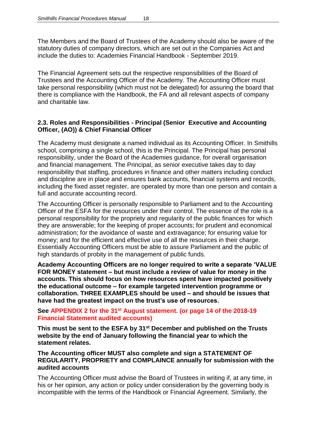The Members and the Board of Trustees of the Academy should also be aware of the statutory duties of company directors, which are set out in the Companies Act and include the duties to: Academies Financial Handbook - September 2019.

The Financial Agreement sets out the respective responsibilities of the Board of Trustees and the Accounting Officer of the Academy. The Accounting Officer must take personal responsibility (which must not be delegated) for assuring the board that there is compliance with the Handbook, the FA and all relevant aspects of company and charitable law.

#### **2.3. Roles and Responsibilities - Principal (Senior Executive and Accounting Officer, (AO)) & Chief Financial Officer**

The Academy must designate a named individual as its Accounting Officer. In Smithills school, comprising a single school, this is the Principal. The Principal has personal responsibility, under the Board of the Academies guidance, for overall organisation and financial management. The Principal, as senior executive takes day to day responsibility that staffing, procedures in finance and other matters including conduct and discipline are in place and ensures bank accounts, financial systems and records, including the fixed asset register, are operated by more than one person and contain a full and accurate accounting record.

The Accounting Officer is personally responsible to Parliament and to the Accounting Officer of the ESFA for the resources under their control. The essence of the role is a personal responsibility for the propriety and regularity of the public finances for which they are answerable; for the keeping of proper accounts; for prudent and economical administration; for the avoidance of waste and extravagance; for ensuring value for money; and for the efficient and effective use of all the resources in their charge. Essentially Accounting Officers must be able to assure Parliament and the public of high standards of probity in the management of public funds.

**Academy Accounting Officers are no longer required to write a separate 'VALUE FOR MONEY statement – but must include a review of value for money in the accounts. This should focus on how resources spent have impacted positively the educational outcome – for example targeted intervention programme or collaboration. THREE EXAMPLES should be used – and should be issues that have had the greatest impact on the trust's use of resources.**

#### **See APPENDIX 2 for the 31st August statement. (or page 14 of the 2018-19 Financial Statement audited accounts)**

**This must be sent to the ESFA by 31st December and published on the Trusts website by the end of January following the financial year to which the statement relates.**

#### **The Accounting officer MUST also complete and sign a STATEMENT OF REGULARITY, PROPRIETY and COMPLAINCE annually for submission with the audited accounts**

The Accounting Officer must advise the Board of Trustees in writing if, at any time, in his or her opinion, any action or policy under consideration by the governing body is incompatible with the terms of the Handbook or Financial Agreement. Similarly, the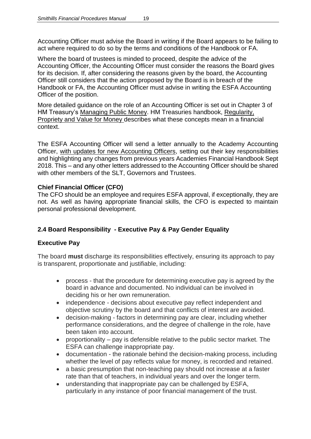Accounting Officer must advise the Board in writing if the Board appears to be failing to act where required to do so by the terms and conditions of the Handbook or FA.

Where the board of trustees is minded to proceed, despite the advice of the Accounting Officer, the Accounting Officer must consider the reasons the Board gives for its decision. If, after considering the reasons given by the board, the Accounting Officer still considers that the action proposed by the Board is in breach of the Handbook or FA, the Accounting Officer must advise in writing the ESFA Accounting Officer of the position.

More detailed guidance on the role of an Accounting Officer is set out in Chapter 3 of HM Treasury's Managing Public Money. HM Treasuries handbook, Regularity, Propriety and Value for Money describes what these concepts mean in a financial context.

The ESFA Accounting Officer will send a letter annually to the Academy Accounting Officer, with updates for new Accounting Officers, setting out their key responsibilities and highlighting any changes from previous years Academies Financial Handbook Sept 2018. This – and any other letters addressed to the Accounting Officer should be shared with other members of the SLT, Governors and Trustees.

# **Chief Financial Officer (CFO)**

The CFO should be an employee and requires ESFA approval, if exceptionally, they are not. As well as having appropriate financial skills, the CFO is expected to maintain personal professional development.

# **2.4 Board Responsibility - Executive Pay & Pay Gender Equality**

# **Executive Pay**

The board **must** discharge its responsibilities effectively, ensuring its approach to pay is transparent, proportionate and justifiable, including:

- process that the procedure for determining executive pay is agreed by the board in advance and documented. No individual can be involved in deciding his or her own remuneration.
- independence decisions about executive pay reflect independent and objective scrutiny by the board and that conflicts of interest are avoided.
- decision-making factors in determining pay are clear, including whether performance considerations, and the degree of challenge in the role, have been taken into account.
- proportionality pay is defensible relative to the public sector market. The ESFA can challenge inappropriate pay.
- documentation the rationale behind the decision-making process, including whether the level of pay reflects value for money, is recorded and retained.
- a basic presumption that non-teaching pay should not increase at a faster rate than that of teachers, in individual years and over the longer term.
- understanding that inappropriate pay can be challenged by ESFA, particularly in any instance of poor financial management of the trust.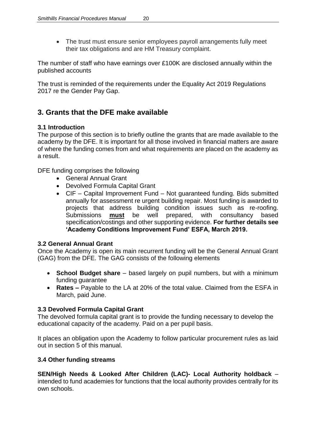• The trust must ensure senior employees payroll arrangements fully meet their tax obligations and are HM Treasury complaint.

The number of staff who have earnings over £100K are disclosed annually within the published accounts

The trust is reminded of the requirements under the Equality Act 2019 Regulations 2017 re the Gender Pay Gap.

# **3. Grants that the DFE make available**

# **3.1 Introduction**

The purpose of this section is to briefly outline the grants that are made available to the academy by the DFE. It is important for all those involved in financial matters are aware of where the funding comes from and what requirements are placed on the academy as a result.

DFE funding comprises the following

- General Annual Grant
- Devolved Formula Capital Grant
- CIF Capital Improvement Fund Not guaranteed funding. Bids submitted annually for assessment re urgent building repair. Most funding is awarded to projects that address building condition issues such as re-roofing. Submissions **must** be well prepared, with consultancy based specification/costings and other supporting evidence. **For further details see 'Academy Conditions Improvement Fund' ESFA, March 2019.**

# **3.2 General Annual Grant**

Once the Academy is open its main recurrent funding will be the General Annual Grant (GAG) from the DFE. The GAG consists of the following elements

- **School Budget share** based largely on pupil numbers, but with a minimum funding guarantee
- **Rates –** Payable to the LA at 20% of the total value. Claimed from the ESFA in March, paid June.

# **3.3 Devolved Formula Capital Grant**

The devolved formula capital grant is to provide the funding necessary to develop the educational capacity of the academy. Paid on a per pupil basis.

It places an obligation upon the Academy to follow particular procurement rules as laid out in section 5 of this manual.

# **3.4 Other funding streams**

**SEN/High Needs & Looked After Children (LAC)- Local Authority holdback** – intended to fund academies for functions that the local authority provides centrally for its own schools.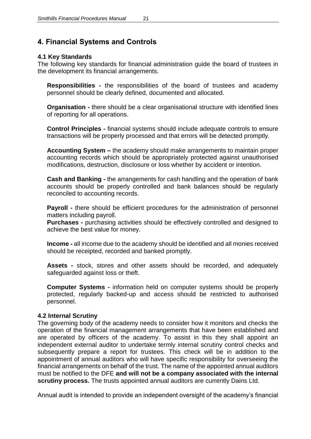# **4. Financial Systems and Controls**

# **4.1 Key Standards**

The following key standards for financial administration guide the board of trustees in the development its financial arrangements.

**Responsibilities -** the responsibilities of the board of trustees and academy personnel should be clearly defined, documented and allocated.

**Organisation -** there should be a clear organisational structure with identified lines of reporting for all operations.

**Control Principles -** financial systems should include adequate controls to ensure transactions will be properly processed and that errors will be detected promptly.

**Accounting System –** the academy should make arrangements to maintain proper accounting records which should be appropriately protected against unauthorised modifications, destruction, disclosure or loss whether by accident or intention.

**Cash and Banking -** the arrangements for cash handling and the operation of bank accounts should be properly controlled and bank balances should be regularly reconciled to accounting records.

**Payroll -** there should be efficient procedures for the administration of personnel matters including payroll.

**Purchases -** purchasing activities should be effectively controlled and designed to achieve the best value for money.

**Income -** all income due to the academy should be identified and all monies received should be receipted, recorded and banked promptly.

**Assets -** stock, stores and other assets should be recorded, and adequately safeguarded against loss or theft.

**Computer Systems -** information held on computer systems should be properly protected, regularly backed-up and access should be restricted to authorised personnel.

# **4.2 Internal Scrutiny**

The governing body of the academy needs to consider how it monitors and checks the operation of the financial management arrangements that have been established and are operated by officers of the academy. To assist in this they shall appoint an independent external auditor to undertake termly internal scrutiny control checks and subsequently prepare a report for trustees. This check will be in addition to the appointment of annual auditors who will have specific responsibility for overseeing the financial arrangements on behalf of the trust. The name of the appointed annual auditors must be notified to the DFE **and will not be a company associated with the internal scrutiny process.** The trusts appointed annual auditors are currently Dains Ltd.

Annual audit is intended to provide an independent oversight of the academy's financial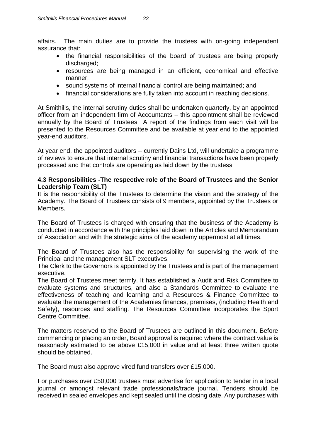affairs. The main duties are to provide the trustees with on-going independent assurance that:

- the financial responsibilities of the board of trustees are being properly discharged;
- resources are being managed in an efficient, economical and effective manner;
- sound systems of internal financial control are being maintained; and
- financial considerations are fully taken into account in reaching decisions.

At Smithills, the internal scrutiny duties shall be undertaken quarterly, by an appointed officer from an independent firm of Accountants – this appointment shall be reviewed annually by the Board of Trustees A report of the findings from each visit will be presented to the Resources Committee and be available at year end to the appointed year-end auditors.

At year end, the appointed auditors – currently Dains Ltd, will undertake a programme of reviews to ensure that internal scrutiny and financial transactions have been properly processed and that controls are operating as laid down by the trustess

### **4.3 Responsibilities -The respective role of the Board of Trustees and the Senior Leadership Team (SLT)**

It is the responsibility of the Trustees to determine the vision and the strategy of the Academy. The Board of Trustees consists of 9 members, appointed by the Trustees or Members.

The Board of Trustees is charged with ensuring that the business of the Academy is conducted in accordance with the principles laid down in the Articles and Memorandum of Association and with the strategic aims of the academy uppermost at all times.

The Board of Trustees also has the responsibility for supervising the work of the Principal and the management SLT executives.

The Clerk to the Governors is appointed by the Trustees and is part of the management executive.

The Board of Trustees meet termly. It has established a Audit and Risk Committee to evaluate systems and structures, and also a Standards Committee to evaluate the effectiveness of teaching and learning and a Resources & Finance Committee to evaluate the management of the Academies finances, premises, (including Health and Safety), resources and staffing. The Resources Committee incorporates the Sport Centre Committee.

The matters reserved to the Board of Trustees are outlined in this document. Before commencing or placing an order, Board approval is required where the contract value is reasonably estimated to be above £15,000 in value and at least three written quote should be obtained.

The Board must also approve vired fund transfers over £15,000.

For purchases over £50,000 trustees must advertise for application to tender in a local journal or amongst relevant trade professionals/trade journal. Tenders should be received in sealed envelopes and kept sealed until the closing date. Any purchases with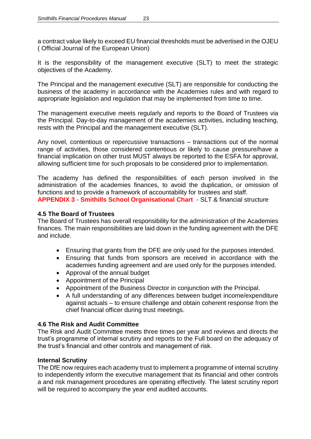a contract value likely to exceed EU financial thresholds must be advertised in the OJEU ( Official Journal of the European Union)

It is the responsibility of the management executive (SLT) to meet the strategic objectives of the Academy.

The Principal and the management executive (SLT) are responsible for conducting the business of the academy in accordance with the Academies rules and with regard to appropriate legislation and regulation that may be implemented from time to time.

The management executive meets regularly and reports to the Board of Trustees via the Principal. Day-to-day management of the academies activities, including teaching, rests with the Principal and the management executive (SLT).

Any novel, contentious or repercussive transactions – transactions out of the normal range of activities, those considered contentious or likely to cause pressure/have a financial implication on other trust MUST always be reported to the ESFA for approval, allowing sufficient time for such proposals to be considered prior to implementation.

The academy has defined the responsibilities of each person involved in the administration of the academies finances, to avoid the duplication, or omission of functions and to provide a framework of accountability for trustees and staff. **APPENDIX 3** - **Smithills School Organisational Chart** - SLT & financial structure

# **4.5 The Board of Trustees**

The Board of Trustees has overall responsibility for the administration of the Academies finances. The main responsibilities are laid down in the funding agreement with the DFE and include.

- Ensuring that grants from the DFE are only used for the purposes intended.
- Ensuring that funds from sponsors are received in accordance with the academies funding agreement and are used only for the purposes intended.
- Approval of the annual budget
- Appointment of the Principal
- Appointment of the Business Director in conjunction with the Principal.
- A full understanding of any differences between budget income/expenditure against actuals – to ensure challenge and obtain coherent response from the chief financial officer during trust meetings.

#### **4.6 The Risk and Audit Committee**

The Risk and Audit Committee meets three times per year and reviews and directs the trust's programme of internal scrutiny and reports to the Full board on the adequacy of the trust's financial and other controls and management of risk.

#### **Internal Scrutiny**

The DfE now requires each academy trust to implement a programme of internal scrutiny to independently inform the executive management that its financial and other controls a and risk management procedures are operating effectively. The latest scrutiny report will be required to accompany the year end audited accounts.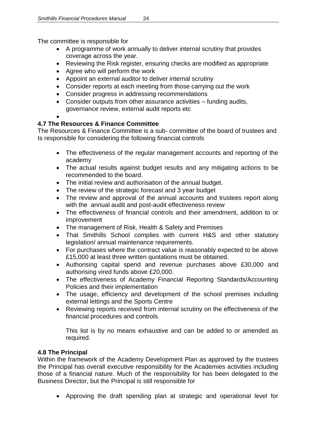The committee is responsible for

- A programme of work annually to deliver internal scrutiny that provides coverage across the year.
- Reviewing the Risk register, ensuring checks are modified as appropriate
- Agree who will perform the work
- Appoint an external auditor to deliver internal scrutiny
- Consider reports at each meeting from those carrying out the work
- Consider progress in addressing recommendations
- Consider outputs from other assurance activities funding audits, governance review, external audit reports etc
- $\bullet$

# **4.7 The Resources & Finance Committee**

The Resources & Finance Committee is a sub- committee of the board of trustees and Is responsible for considering the following financial controls

- The effectiveness of the regular management accounts and reporting of the academy
- The actual results against budget results and any mitigating actions to be recommended to the board.
- The initial review and authorisation of the annual budget.
- The review of the strategic forecast and 3 year budget
- The review and approval of the annual accounts and trustees report along with the annual audit and post-audit effectiveness review
- The effectiveness of financial controls and their amendment, addition to or improvement
- The management of Risk, Health & Safety and Premises
- That Smithills School complies with current H&S and other statutory legislation/ annual maintenance requirements.
- For purchases where the contract value is reasonably expected to be above £15,000 at least three written quotations must be obtained.
- Authorising capital spend and revenue purchases above £30,000 and authorising vired funds above £20,000.
- The effectiveness of Academy Financial Reporting Standards/Accounting Policies and their implementation
- The usage, efficiency and development of the school premises including external lettings and the Sports Centre
- Reviewing reports received from internal scrutiny on the effectiveness of the financial procedures and controls.

This list is by no means exhaustive and can be added to or amended as required.

# **4.8 The Principal**

Within the framework of the Academy Development Plan as approved by the trustees the Principal has overall executive responsibility for the Academies activities including those of a financial nature. Much of the responsibility for has been delegated to the Business Director, but the Principal is still responsible for

Approving the draft spending plan at strategic and operational level for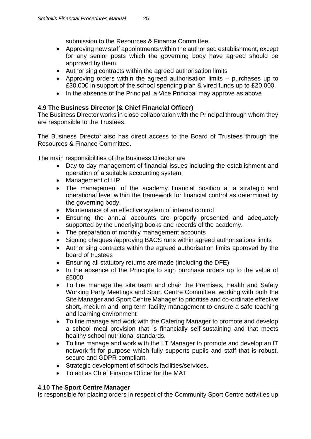submission to the Resources & Finance Committee.

- Approving new staff appointments within the authorised establishment, except for any senior posts which the governing body have agreed should be approved by them.
- Authorising contracts within the agreed authorisation limits
- Approving orders within the agreed authorisation limits purchases up to £30,000 in support of the school spending plan & vired funds up to £20,000.
- In the absence of the Principal, a Vice Principal may approve as above

# **4.9 The Business Director (& Chief Financial Officer)**

The Business Director works in close collaboration with the Principal through whom they are responsible to the Trustees.

The Business Director also has direct access to the Board of Trustees through the Resources & Finance Committee.

The main responsibilities of the Business Director are

- Day to day management of financial issues including the establishment and operation of a suitable accounting system.
- Management of HR
- The management of the academy financial position at a strategic and operational level within the framework for financial control as determined by the governing body.
- Maintenance of an effective system of internal control
- Ensuring the annual accounts are properly presented and adequately supported by the underlying books and records of the academy.
- The preparation of monthly management accounts
- Signing cheques /approving BACS runs within agreed authorisations limits
- Authorising contracts within the agreed authorisation limits approved by the board of trustees
- Ensuring all statutory returns are made (including the DFE)
- In the absence of the Principle to sign purchase orders up to the value of £5000
- To line manage the site team and chair the Premises, Health and Safety Working Party Meetings and Sport Centre Committee, working with both the Site Manager and Sport Centre Manager to prioritise and co-ordinate effective short, medium and long term facility management to ensure a safe teaching and learning environment
- To line manage and work with the Catering Manager to promote and develop a school meal provision that is financially self-sustaining and that meets healthy school nutritional standards.
- To line manage and work with the I.T Manager to promote and develop an IT network fit for purpose which fully supports pupils and staff that is robust, secure and GDPR compliant.
- Strategic development of schools facilities/services.
- To act as Chief Finance Officer for the MAT

# **4.10 The Sport Centre Manager**

Is responsible for placing orders in respect of the Community Sport Centre activities up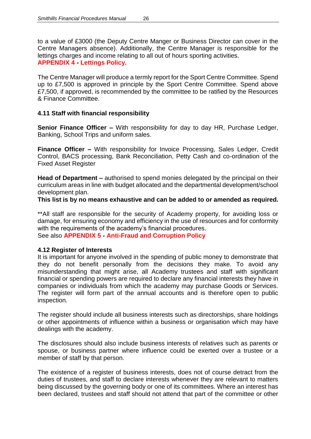to a value of £3000 (the Deputy Centre Manger or Business Director can cover in the Centre Managers absence). Additionally, the Centre Manager is responsible for the lettings charges and income relating to all out of hours sporting activities. **APPENDIX 4 - Lettings Policy.**

The Centre Manager will produce a termly report for the Sport Centre Committee. Spend up to £7,500 is approved in principle by the Sport Centre Committee. Spend above £7,500, if approved, is recommended by the committee to be ratified by the Resources & Finance Committee.

# **4.11 Staff with financial responsibility**

**Senior Finance Officer –** With responsibility for day to day HR, Purchase Ledger, Banking, School Trips and uniform sales.

**Finance Officer –** With responsibility for Invoice Processing, Sales Ledger, Credit Control, BACS processing, Bank Reconciliation, Petty Cash and co-ordination of the Fixed Asset Register

**Head of Department –** authorised to spend monies delegated by the principal on their curriculum areas in line with budget allocated and the departmental development/school development plan.

**This list is by no means exhaustive and can be added to or amended as required.**

\*\*All staff are responsible for the security of Academy property, for avoiding loss or damage, for ensuring economy and efficiency in the use of resources and for conformity with the requirements of the academy's financial procedures.

See also **APPENDIX 5 - Anti-Fraud and Corruption Policy**

#### **4.12 Register of Interests**

It is important for anyone involved in the spending of public money to demonstrate that they do not benefit personally from the decisions they make. To avoid any misunderstanding that might arise, all Academy trustees and staff with significant financial or spending powers are required to declare any financial interests they have in companies or individuals from which the academy may purchase Goods or Services. The register will form part of the annual accounts and is therefore open to public inspection.

The register should include all business interests such as directorships, share holdings or other appointments of influence within a business or organisation which may have dealings with the academy.

The disclosures should also include business interests of relatives such as parents or spouse, or business partner where influence could be exerted over a trustee or a member of staff by that person.

The existence of a register of business interests, does not of course detract from the duties of trustees, and staff to declare interests whenever they are relevant to matters being discussed by the governing body or one of its committees. Where an interest has been declared, trustees and staff should not attend that part of the committee or other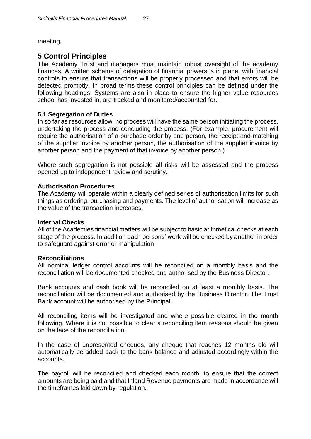meeting.

# **5 Control Principles**

The Academy Trust and managers must maintain robust oversight of the academy finances. A written scheme of delegation of financial powers is in place, with financial controls to ensure that transactions will be properly processed and that errors will be detected promptly. In broad terms these control principles can be defined under the following headings. Systems are also in place to ensure the higher value resources school has invested in, are tracked and monitored/accounted for.

#### **5.1 Segregation of Duties**

In so far as resources allow, no process will have the same person initiating the process, undertaking the process and concluding the process. (For example, procurement will require the authorisation of a purchase order by one person, the receipt and matching of the supplier invoice by another person, the authorisation of the supplier invoice by another person and the payment of that invoice by another person.)

Where such segregation is not possible all risks will be assessed and the process opened up to independent review and scrutiny.

#### **Authorisation Procedures**

The Academy will operate within a clearly defined series of authorisation limits for such things as ordering, purchasing and payments. The level of authorisation will increase as the value of the transaction increases.

#### **Internal Checks**

All of the Academies financial matters will be subject to basic arithmetical checks at each stage of the process. In addition each persons' work will be checked by another in order to safeguard against error or manipulation

#### **Reconciliations**

All nominal ledger control accounts will be reconciled on a monthly basis and the reconciliation will be documented checked and authorised by the Business Director.

Bank accounts and cash book will be reconciled on at least a monthly basis. The reconciliation will be documented and authorised by the Business Director. The Trust Bank account will be authorised by the Principal.

All reconciling items will be investigated and where possible cleared in the month following. Where it is not possible to clear a reconciling item reasons should be given on the face of the reconciliation.

In the case of unpresented cheques, any cheque that reaches 12 months old will automatically be added back to the bank balance and adjusted accordingly within the accounts.

The payroll will be reconciled and checked each month, to ensure that the correct amounts are being paid and that Inland Revenue payments are made in accordance will the timeframes laid down by regulation.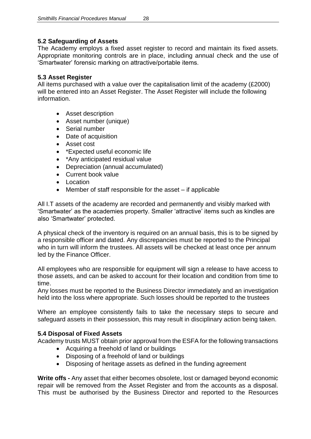# **5.2 Safeguarding of Assets**

The Academy employs a fixed asset register to record and maintain its fixed assets. Appropriate monitoring controls are in place, including annual check and the use of 'Smartwater' forensic marking on attractive/portable items.

# **5.3 Asset Register**

All items purchased with a value over the capitalisation limit of the academy (£2000) will be entered into an Asset Register. The Asset Register will include the following information.

- Asset description
- Asset number (unique)
- Serial number
- Date of acquisition
- Asset cost
- \*Expected useful economic life
- \*Any anticipated residual value
- Depreciation (annual accumulated)
- Current book value
- Location
- Member of staff responsible for the asset if applicable

All I.T assets of the academy are recorded and permanently and visibly marked with 'Smartwater' as the academies property. Smaller 'attractive' items such as kindles are also 'Smartwater' protected.

A physical check of the inventory is required on an annual basis, this is to be signed by a responsible officer and dated. Any discrepancies must be reported to the Principal who in turn will inform the trustees. All assets will be checked at least once per annum led by the Finance Officer.

All employees who are responsible for equipment will sign a release to have access to those assets, and can be asked to account for their location and condition from time to time.

Any losses must be reported to the Business Director immediately and an investigation held into the loss where appropriate. Such losses should be reported to the trustees

Where an employee consistently fails to take the necessary steps to secure and safeguard assets in their possession, this may result in disciplinary action being taken.

# **5.4 Disposal of Fixed Assets**

Academy trusts MUST obtain prior approval from the ESFA for the following transactions

- Acquiring a freehold of land or buildings
- Disposing of a freehold of land or buildings
- Disposing of heritage assets as defined in the funding agreement

**Write offs -** Any asset that either becomes obsolete, lost or damaged beyond economic repair will be removed from the Asset Register and from the accounts as a disposal. This must be authorised by the Business Director and reported to the Resources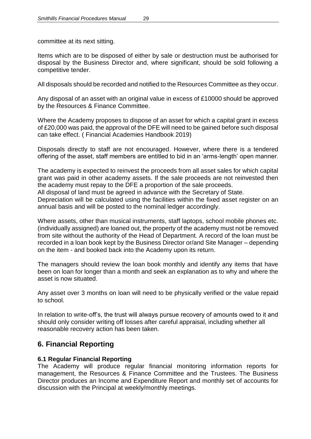committee at its next sitting.

Items which are to be disposed of either by sale or destruction must be authorised for disposal by the Business Director and, where significant, should be sold following a competitive tender.

All disposals should be recorded and notified to the Resources Committee as they occur.

Any disposal of an asset with an original value in excess of £10000 should be approved by the Resources & Finance Committee.

Where the Academy proposes to dispose of an asset for which a capital grant in excess of £20,000 was paid, the approval of the DFE will need to be gained before such disposal can take effect. ( Financial Academies Handbook 2019)

Disposals directly to staff are not encouraged. However, where there is a tendered offering of the asset, staff members are entitled to bid in an 'arms-length' open manner.

The academy is expected to reinvest the proceeds from all asset sales for which capital grant was paid in other academy assets. If the sale proceeds are not reinvested then the academy must repay to the DFE a proportion of the sale proceeds.

All disposal of land must be agreed in advance with the Secretary of State.

Depreciation will be calculated using the facilities within the fixed asset register on an annual basis and will be posted to the nominal ledger accordingly.

Where assets, other than musical instruments, staff laptops, school mobile phones etc. (individually assigned) are loaned out, the property of the academy must not be removed from site without the authority of the Head of Department. A record of the loan must be recorded in a loan book kept by the Business Director or/and Site Manager – depending on the item - and booked back into the Academy upon its return.

The managers should review the loan book monthly and identify any items that have been on loan for longer than a month and seek an explanation as to why and where the asset is now situated.

Any asset over 3 months on loan will need to be physically verified or the value repaid to school.

In relation to write-off's, the trust will always pursue recovery of amounts owed to it and should only consider writing off losses after careful appraisal, including whether all reasonable recovery action has been taken.

# **6. Financial Reporting**

#### **6.1 Regular Financial Reporting**

The Academy will produce regular financial monitoring information reports for management, the Resources & Finance Committee and the Trustees. The Business Director produces an Income and Expenditure Report and monthly set of accounts for discussion with the Principal at weekly/monthly meetings.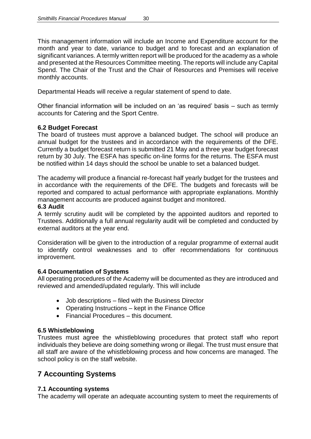This management information will include an Income and Expenditure account for the month and year to date, variance to budget and to forecast and an explanation of significant variances. A termly written report will be produced for the academy as a whole and presented at the Resources Committee meeting. The reports will include any Capital Spend. The Chair of the Trust and the Chair of Resources and Premises will receive monthly accounts.

Departmental Heads will receive a regular statement of spend to date.

Other financial information will be included on an 'as required' basis – such as termly accounts for Catering and the Sport Centre.

#### **6.2 Budget Forecast**

The board of trustees must approve a balanced budget. The school will produce an annual budget for the trustees and in accordance with the requirements of the DFE. Currently a budget forecast return is submitted 21 May and a three year budget forecast return by 30 July. The ESFA has specific on-line forms for the returns. The ESFA must be notified within 14 days should the school be unable to set a balanced budget.

The academy will produce a financial re-forecast half yearly budget for the trustees and in accordance with the requirements of the DFE. The budgets and forecasts will be reported and compared to actual performance with appropriate explanations. Monthly management accounts are produced against budget and monitored.

#### **6.3 Audit**

A termly scrutiny audit will be completed by the appointed auditors and reported to Trustees. Additionally a full annual regularity audit will be completed and conducted by external auditors at the year end.

Consideration will be given to the introduction of a regular programme of external audit to identify control weaknesses and to offer recommendations for continuous improvement.

#### **6.4 Documentation of Systems**

All operating procedures of the Academy will be documented as they are introduced and reviewed and amended/updated regularly. This will include

- Job descriptions filed with the Business Director
- Operating Instructions kept in the Finance Office
- Financial Procedures this document.

#### **6.5 Whistleblowing**

Trustees must agree the whistleblowing procedures that protect staff who report individuals they believe are doing something wrong or illegal. The trust must ensure that all staff are aware of the whistleblowing process and how concerns are managed. The school policy is on the staff website.

# **7 Accounting Systems**

#### **7.1 Accounting systems**

The academy will operate an adequate accounting system to meet the requirements of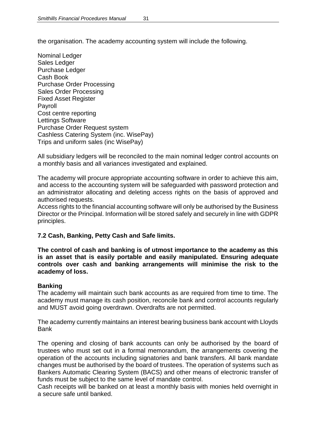the organisation. The academy accounting system will include the following.

Nominal Ledger Sales Ledger Purchase Ledger Cash Book Purchase Order Processing Sales Order Processing Fixed Asset Register Payroll Cost centre reporting Lettings Software Purchase Order Request system Cashless Catering System (inc. WisePay) Trips and uniform sales (inc WisePay)

All subsidiary ledgers will be reconciled to the main nominal ledger control accounts on a monthly basis and all variances investigated and explained.

The academy will procure appropriate accounting software in order to achieve this aim, and access to the accounting system will be safeguarded with password protection and an administrator allocating and deleting access rights on the basis of approved and authorised requests.

Access rights to the financial accounting software will only be authorised by the Business Director or the Principal. Information will be stored safely and securely in line with GDPR principles.

#### **7.2 Cash, Banking, Petty Cash and Safe limits.**

**The control of cash and banking is of utmost importance to the academy as this is an asset that is easily portable and easily manipulated. Ensuring adequate controls over cash and banking arrangements will minimise the risk to the academy of loss.**

#### **Banking**

The academy will maintain such bank accounts as are required from time to time. The academy must manage its cash position, reconcile bank and control accounts regularly and MUST avoid going overdrawn. Overdrafts are not permitted.

The academy currently maintains an interest bearing business bank account with Lloyds Bank

The opening and closing of bank accounts can only be authorised by the board of trustees who must set out in a formal memorandum, the arrangements covering the operation of the accounts including signatories and bank transfers. All bank mandate changes must be authorised by the board of trustees. The operation of systems such as Bankers Automatic Clearing System (BACS) and other means of electronic transfer of funds must be subject to the same level of mandate control.

Cash receipts will be banked on at least a monthly basis with monies held overnight in a secure safe until banked.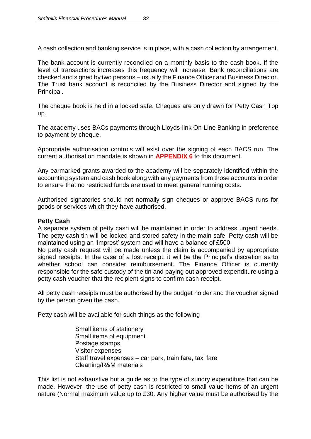A cash collection and banking service is in place, with a cash collection by arrangement.

The bank account is currently reconciled on a monthly basis to the cash book. If the level of transactions increases this frequency will increase. Bank reconciliations are checked and signed by two persons – usually the Finance Officer and Business Director. The Trust bank account is reconciled by the Business Director and signed by the Principal.

The cheque book is held in a locked safe. Cheques are only drawn for Petty Cash Top up.

The academy uses BACs payments through Lloyds-link On-Line Banking in preference to payment by cheque.

Appropriate authorisation controls will exist over the signing of each BACS run. The current authorisation mandate is shown in **APPENDIX 6** to this document.

Any earmarked grants awarded to the academy will be separately identified within the accounting system and cash book along with any payments from those accounts in order to ensure that no restricted funds are used to meet general running costs.

Authorised signatories should not normally sign cheques or approve BACS runs for goods or services which they have authorised.

#### **Petty Cash**

A separate system of petty cash will be maintained in order to address urgent needs. The petty cash tin will be locked and stored safety in the main safe. Petty cash will be maintained using an 'Imprest' system and will have a balance of £500.

No petty cash request will be made unless the claim is accompanied by appropriate signed receipts. In the case of a lost receipt, it will be the Principal's discretion as to whether school can consider reimbursement. The Finance Officer is currently responsible for the safe custody of the tin and paying out approved expenditure using a petty cash voucher that the recipient signs to confirm cash receipt.

All petty cash receipts must be authorised by the budget holder and the voucher signed by the person given the cash.

Petty cash will be available for such things as the following

Small items of stationery Small items of equipment Postage stamps Visitor expenses Staff travel expenses – car park, train fare, taxi fare Cleaning/R&M materials

This list is not exhaustive but a guide as to the type of sundry expenditure that can be made. However, the use of petty cash is restricted to small value items of an urgent nature (Normal maximum value up to £30. Any higher value must be authorised by the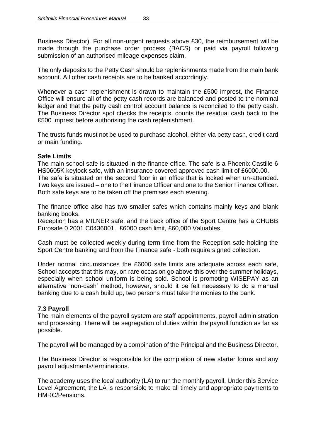Business Director). For all non-urgent requests above £30, the reimbursement will be made through the purchase order process (BACS) or paid via payroll following submission of an authorised mileage expenses claim.

The only deposits to the Petty Cash should be replenishments made from the main bank account. All other cash receipts are to be banked accordingly.

Whenever a cash replenishment is drawn to maintain the £500 imprest, the Finance Office will ensure all of the petty cash records are balanced and posted to the nominal ledger and that the petty cash control account balance is reconciled to the petty cash. The Business Director spot checks the receipts, counts the residual cash back to the £500 imprest before authorising the cash replenishment.

The trusts funds must not be used to purchase alcohol, either via petty cash, credit card or main funding.

#### **Safe Limits**

The main school safe is situated in the finance office. The safe is a Phoenix Castille 6 HS0605K keylock safe, with an insurance covered approved cash limit of £6000.00. The safe is situated on the second floor in an office that is locked when un-attended. Two keys are issued – one to the Finance Officer and one to the Senior Finance Officer. Both safe keys are to be taken off the premises each evening.

The finance office also has two smaller safes which contains mainly keys and blank banking books.

Reception has a MILNER safe, and the back office of the Sport Centre has a CHUBB Eurosafe 0 2001 C0436001. £6000 cash limit, £60,000 Valuables.

Cash must be collected weekly during term time from the Reception safe holding the Sport Centre banking and from the Finance safe - both require signed collection.

Under normal circumstances the £6000 safe limits are adequate across each safe, School accepts that this may, on rare occasion go above this over the summer holidays, especially when school uniform is being sold. School is promoting WISEPAY as an alternative 'non-cash' method, however, should it be felt necessary to do a manual banking due to a cash build up, two persons must take the monies to the bank.

#### **7.3 Payroll**

The main elements of the payroll system are staff appointments, payroll administration and processing. There will be segregation of duties within the payroll function as far as possible.

The payroll will be managed by a combination of the Principal and the Business Director.

The Business Director is responsible for the completion of new starter forms and any payroll adjustments/terminations.

The academy uses the local authority (LA) to run the monthly payroll. Under this Service Level Agreement, the LA is responsible to make all timely and appropriate payments to HMRC/Pensions.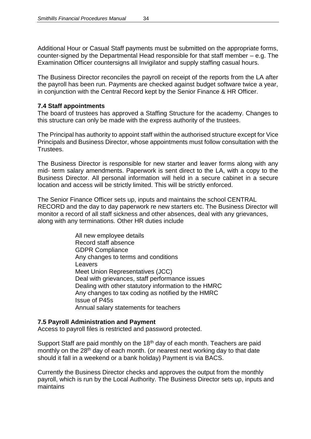Additional Hour or Casual Staff payments must be submitted on the appropriate forms, counter-signed by the Departmental Head responsible for that staff member – e.g. The Examination Officer countersigns all Invigilator and supply staffing casual hours.

The Business Director reconciles the payroll on receipt of the reports from the LA after the payroll has been run. Payments are checked against budget software twice a year, in conjunction with the Central Record kept by the Senior Finance & HR Officer.

#### **7.4 Staff appointments**

The board of trustees has approved a Staffing Structure for the academy. Changes to this structure can only be made with the express authority of the trustees.

The Principal has authority to appoint staff within the authorised structure except for Vice Principals and Business Director, whose appointments must follow consultation with the Trustees.

The Business Director is responsible for new starter and leaver forms along with any mid- term salary amendments. Paperwork is sent direct to the LA, with a copy to the Business Director. All personal information will held in a secure cabinet in a secure location and access will be strictly limited. This will be strictly enforced.

The Senior Finance Officer sets up, inputs and maintains the school CENTRAL RECORD and the day to day paperwork re new starters etc. The Business Director will monitor a record of all staff sickness and other absences, deal with any grievances, along with any terminations. Other HR duties include

> All new employee details Record staff absence GDPR Compliance Any changes to terms and conditions Leavers Meet Union Representatives (JCC) Deal with grievances, staff performance issues Dealing with other statutory information to the HMRC Any changes to tax coding as notified by the HMRC Issue of P45s Annual salary statements for teachers

#### **7.5 Payroll Administration and Payment**

Access to payroll files is restricted and password protected.

Support Staff are paid monthly on the 18<sup>th</sup> day of each month. Teachers are paid monthly on the 28<sup>th</sup> day of each month. (or nearest next working day to that date should it fall in a weekend or a bank holiday) Payment is via BACS.

Currently the Business Director checks and approves the output from the monthly payroll, which is run by the Local Authority. The Business Director sets up, inputs and maintains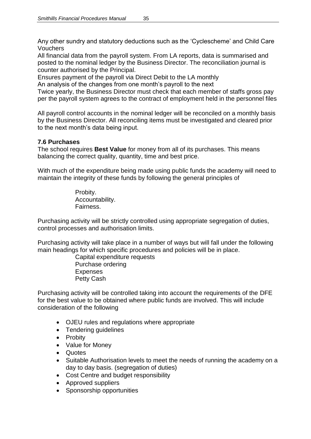Any other sundry and statutory deductions such as the 'Cyclescheme' and Child Care Vouchers

All financial data from the payroll system. From LA reports, data is summarised and posted to the nominal ledger by the Business Director. The reconciliation journal is counter authorised by the Principal.

Ensures payment of the payroll via Direct Debit to the LA monthly

An analysis of the changes from one month's payroll to the next

Twice yearly, the Business Director must check that each member of staffs gross pay per the payroll system agrees to the contract of employment held in the personnel files

All payroll control accounts in the nominal ledger will be reconciled on a monthly basis by the Business Director. All reconciling items must be investigated and cleared prior to the next month's data being input.

# **7.6 Purchases**

The school requires **Best Value** for money from all of its purchases. This means balancing the correct quality, quantity, time and best price.

With much of the expenditure being made using public funds the academy will need to maintain the integrity of these funds by following the general principles of

> Probity. Accountability. Fairness.

Purchasing activity will be strictly controlled using appropriate segregation of duties, control processes and authorisation limits.

Purchasing activity will take place in a number of ways but will fall under the following main headings for which specific procedures and policies will be in place.

Capital expenditure requests Purchase ordering Expenses Petty Cash

Purchasing activity will be controlled taking into account the requirements of the DFE for the best value to be obtained where public funds are involved. This will include consideration of the following

- OJEU rules and regulations where appropriate
- Tendering guidelines
- Probity
- Value for Money
- Quotes
- Suitable Authorisation levels to meet the needs of running the academy on a day to day basis. (segregation of duties)
- Cost Centre and budget responsibility
- Approved suppliers
- Sponsorship opportunities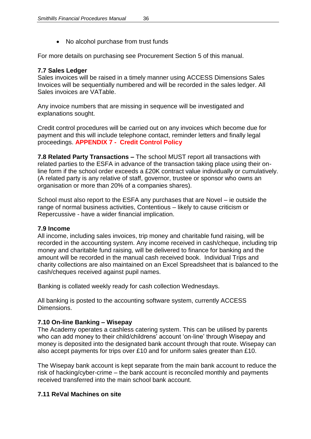• No alcohol purchase from trust funds

For more details on purchasing see Procurement Section 5 of this manual.

# **7.7 Sales Ledger**

Sales invoices will be raised in a timely manner using ACCESS Dimensions Sales Invoices will be sequentially numbered and will be recorded in the sales ledger. All Sales invoices are VATable.

Any invoice numbers that are missing in sequence will be investigated and explanations sought.

Credit control procedures will be carried out on any invoices which become due for payment and this will include telephone contact, reminder letters and finally legal proceedings. **APPENDIX 7 - Credit Control Policy** 

**7.8 Related Party Transactions –** The school MUST report all transactions with related parties to the ESFA in advance of the transaction taking place using their online form if the school order exceeds a £20K contract value individually or cumulatively. (A related party is any relative of staff, governor, trustee or sponsor who owns an organisation or more than 20% of a companies shares).

School must also report to the ESFA any purchases that are Novel – ie outside the range of normal business activities, Contentious – likely to cause criticism or Repercussive - have a wider financial implication.

# **7.9 Income**

All income, including sales invoices, trip money and charitable fund raising, will be recorded in the accounting system. Any income received in cash/cheque, including trip money and charitable fund raising, will be delivered to finance for banking and the amount will be recorded in the manual cash received book. Individual Trips and charity collections are also maintained on an Excel Spreadsheet that is balanced to the cash/cheques received against pupil names.

Banking is collated weekly ready for cash collection Wednesdays.

All banking is posted to the accounting software system, currently ACCESS Dimensions.

# **7.10 On-line Banking – Wisepay**

The Academy operates a cashless catering system. This can be utilised by parents who can add money to their child/childrens' account 'on-line' through Wisepay and money is deposited into the designated bank account through that route. Wisepay can also accept payments for trips over £10 and for uniform sales greater than £10.

The Wisepay bank account is kept separate from the main bank account to reduce the risk of hacking/cyber-crime – the bank account is reconciled monthly and payments received transferred into the main school bank account.

# **7.11 ReVal Machines on site**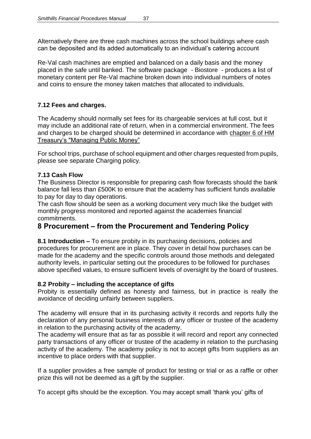Alternatively there are three cash machines across the school buildings where cash can be deposited and its added automatically to an individual's catering account

Re-Val cash machines are emptied and balanced on a daily basis and the money placed in the safe until banked. The software package - Biostore - produces a list of monetary content per Re-Val machine broken down into individual numbers of notes and coins to ensure the money taken matches that allocated to individuals.

# **7.12 Fees and charges.**

The Academy should normally set fees for its chargeable services at full cost, but it may include an additional rate of return, when in a commercial environment. The fees and charges to be charged should be determined in accordance with chapter 6 of HM Treasury's "Managing Public Money"

For school trips, purchase of school equipment and other charges requested from pupils, please see separate Charging policy.

# **7.13 Cash Flow**

The Business Director is responsible for preparing cash flow forecasts should the bank balance fall less than £500K to ensure that the academy has sufficient funds available to pay for day to day operations.

The cash flow should be seen as a working document very much like the budget with monthly progress monitored and reported against the academies financial commitments.

# **8 Procurement – from the Procurement and Tendering Policy**

**8.1 Introduction –** To ensure probity in its purchasing decisions, policies and procedures for procurement are in place. They cover in detail how purchases can be made for the academy and the specific controls around those methods and delegated authority levels, in particular setting out the procedures to be followed for purchases above specified values, to ensure sufficient levels of oversight by the board of trustees.

# **8.2 Probity – including the acceptance of gifts**

Probity is essentially defined as honesty and fairness, but in practice is really the avoidance of deciding unfairly between suppliers.

The academy will ensure that in its purchasing activity it records and reports fully the declaration of any personal business interests of any officer or trustee of the academy in relation to the purchasing activity of the academy.

The academy will ensure that as far as possible it will record and report any connected party transactions of any officer or trustee of the academy in relation to the purchasing activity of the academy. The academy policy is not to accept gifts from suppliers as an incentive to place orders with that supplier.

If a supplier provides a free sample of product for testing or trial or as a raffle or other prize this will not be deemed as a gift by the supplier.

To accept gifts should be the exception. You may accept small 'thank you' gifts of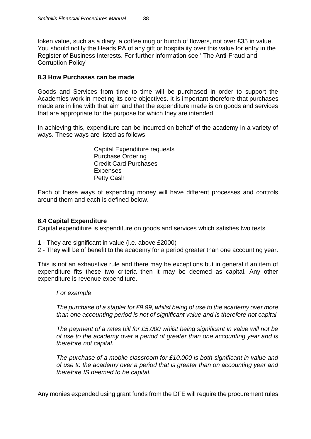token value, such as a diary, a coffee mug or bunch of flowers, not over £35 in value. You should notify the Heads PA of any gift or hospitality over this value for entry in the Register of Business Interests. For further information see ' The Anti-Fraud and Corruption Policy'

#### **8.3 How Purchases can be made**

Goods and Services from time to time will be purchased in order to support the Academies work in meeting its core objectives. It is important therefore that purchases made are in line with that aim and that the expenditure made is on goods and services that are appropriate for the purpose for which they are intended.

In achieving this, expenditure can be incurred on behalf of the academy in a variety of ways. These ways are listed as follows.

> Capital Expenditure requests Purchase Ordering Credit Card Purchases **Expenses** Petty Cash

Each of these ways of expending money will have different processes and controls around them and each is defined below.

#### **8.4 Capital Expenditure**

Capital expenditure is expenditure on goods and services which satisfies two tests

- 1 They are significant in value (i.e. above £2000)
- 2 They will be of benefit to the academy for a period greater than one accounting year.

This is not an exhaustive rule and there may be exceptions but in general if an item of expenditure fits these two criteria then it may be deemed as capital. Any other expenditure is revenue expenditure.

#### *For example*

*The purchase of a stapler for £9.99, whilst being of use to the academy over more than one accounting period is not of significant value and is therefore not capital.*

*The payment of a rates bill for £5,000 whilst being significant in value will not be of use to the academy over a period of greater than one accounting year and is therefore not capital.*

*The purchase of a mobile classroom for £10,000 is both significant in value and of use to the academy over a period that is greater than on accounting year and therefore IS deemed to be capital.*

Any monies expended using grant funds from the DFE will require the procurement rules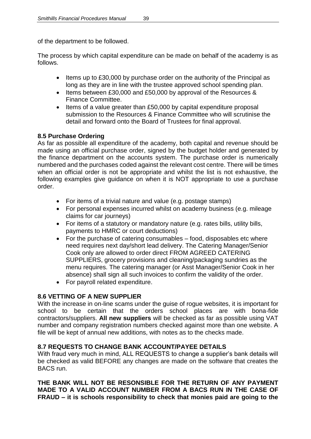of the department to be followed.

The process by which capital expenditure can be made on behalf of the academy is as follows.

- Items up to £30,000 by purchase order on the authority of the Principal as long as they are in line with the trustee approved school spending plan.
- Items between £30,000 and £50,000 by approval of the Resources & Finance Committee.
- Items of a value greater than £50,000 by capital expenditure proposal submission to the Resources & Finance Committee who will scrutinise the detail and forward onto the Board of Trustees for final approval.

# **8.5 Purchase Ordering**

As far as possible all expenditure of the academy, both capital and revenue should be made using an official purchase order, signed by the budget holder and generated by the finance department on the accounts system. The purchase order is numerically numbered and the purchases coded against the relevant cost centre. There will be times when an official order is not be appropriate and whilst the list is not exhaustive, the following examples give guidance on when it is NOT appropriate to use a purchase order.

- For items of a trivial nature and value (e.g. postage stamps)
- For personal expenses incurred whilst on academy business (e.g. mileage claims for car journeys)
- For items of a statutory or mandatory nature (e.g. rates bills, utility bills, payments to HMRC or court deductions)
- For the purchase of catering consumables food, disposables etc where need requires next day/short lead delivery. The Catering Manager/Senior Cook only are allowed to order direct FROM AGREED CATERING SUPPLIERS, grocery provisions and cleaning/packaging sundries as the menu requires. The catering manager (or Asst Manager/Senior Cook in her absence) shall sign all such invoices to confirm the validity of the order.
- For payroll related expenditure.

# **8.6 VETTING OF A NEW SUPPLIER**

With the increase in on-line scams under the guise of rogue websites, it is important for school to be certain that the orders school places are with bona-fide contractors/suppliers. **All new suppliers** will be checked as far as possible using VAT number and company registration numbers checked against more than one website. A file will be kept of annual new additions, with notes as to the checks made.

# **8.7 REQUESTS TO CHANGE BANK ACCOUNT/PAYEE DETAILS**

With fraud very much in mind, ALL REQUESTS to change a supplier's bank details will be checked as valid BEFORE any changes are made on the software that creates the BACS run.

**THE BANK WILL NOT BE RESONSIBLE FOR THE RETURN OF ANY PAYMENT MADE TO A VALID ACCOUNT NUMBER FROM A BACS RUN IN THE CASE OF FRAUD – it is schools responsibility to check that monies paid are going to the**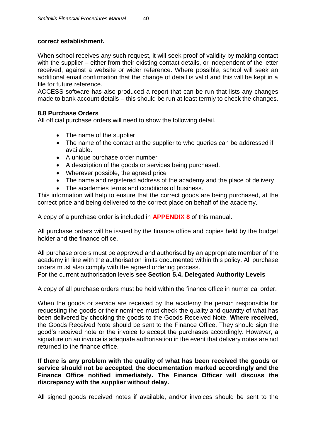# **correct establishment.**

When school receives any such request, it will seek proof of validity by making contact with the supplier – either from their existing contact details, or independent of the letter received, against a website or wider reference. Where possible, school will seek an additional email confirmation that the change of detail is valid and this will be kept in a file for future reference.

ACCESS software has also produced a report that can be run that lists any changes made to bank account details – this should be run at least termly to check the changes.

# **8.8 Purchase Orders**

All official purchase orders will need to show the following detail.

- The name of the supplier
- The name of the contact at the supplier to who queries can be addressed if available.
- A unique purchase order number
- A description of the goods or services being purchased.
- Wherever possible, the agreed price
- The name and registered address of the academy and the place of delivery
- The academies terms and conditions of business.

This information will help to ensure that the correct goods are being purchased, at the correct price and being delivered to the correct place on behalf of the academy.

A copy of a purchase order is included in **APPENDIX 8** of this manual.

All purchase orders will be issued by the finance office and copies held by the budget holder and the finance office.

All purchase orders must be approved and authorised by an appropriate member of the academy in line with the authorisation limits documented within this policy. All purchase orders must also comply with the agreed ordering process.

For the current authorisation levels **see Section 5.4. Delegated Authority Levels**

A copy of all purchase orders must be held within the finance office in numerical order.

When the goods or service are received by the academy the person responsible for requesting the goods or their nominee must check the quality and quantity of what has been delivered by checking the goods to the Goods Received Note. **Where received**, the Goods Received Note should be sent to the Finance Office. They should sign the good's received note or the invoice to accept the purchases accordingly. However, a signature on an invoice is adequate authorisation in the event that delivery notes are not returned to the finance office.

**If there is any problem with the quality of what has been received the goods or service should not be accepted, the documentation marked accordingly and the Finance Office notified immediately. The Finance Officer will discuss the discrepancy with the supplier without delay.**

All signed goods received notes if available, and/or invoices should be sent to the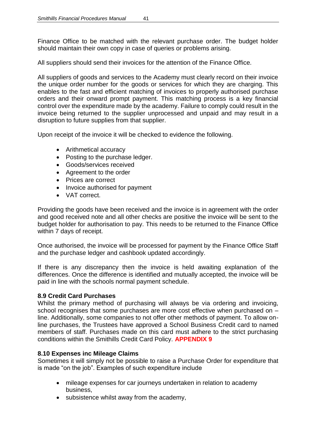Finance Office to be matched with the relevant purchase order. The budget holder should maintain their own copy in case of queries or problems arising.

All suppliers should send their invoices for the attention of the Finance Office.

All suppliers of goods and services to the Academy must clearly record on their invoice the unique order number for the goods or services for which they are charging. This enables to the fast and efficient matching of invoices to properly authorised purchase orders and their onward prompt payment. This matching process is a key financial control over the expenditure made by the academy. Failure to comply could result in the invoice being returned to the supplier unprocessed and unpaid and may result in a disruption to future supplies from that supplier.

Upon receipt of the invoice it will be checked to evidence the following.

- Arithmetical accuracy
- Posting to the purchase ledger.
- Goods/services received
- Agreement to the order
- Prices are correct
- Invoice authorised for payment
- VAT correct.

Providing the goods have been received and the invoice is in agreement with the order and good received note and all other checks are positive the invoice will be sent to the budget holder for authorisation to pay. This needs to be returned to the Finance Office within 7 days of receipt.

Once authorised, the invoice will be processed for payment by the Finance Office Staff and the purchase ledger and cashbook updated accordingly.

If there is any discrepancy then the invoice is held awaiting explanation of the differences. Once the difference is identified and mutually accepted, the invoice will be paid in line with the schools normal payment schedule.

# **8.9 Credit Card Purchases**

Whilst the primary method of purchasing will always be via ordering and invoicing, school recognises that some purchases are more cost effective when purchased on – line. Additionally, some companies to not offer other methods of payment. To allow online purchases, the Trustees have approved a School Business Credit card to named members of staff. Purchases made on this card must adhere to the strict purchasing conditions within the Smithills Credit Card Policy. **APPENDIX 9**

#### **8.10 Expenses inc Mileage Claims**

Sometimes it will simply not be possible to raise a Purchase Order for expenditure that is made "on the job". Examples of such expenditure include

- mileage expenses for car journeys undertaken in relation to academy business,
- subsistence whilst away from the academy,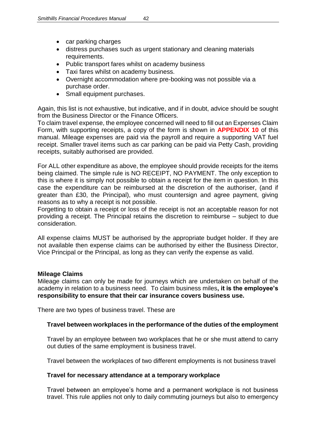- car parking charges
- distress purchases such as urgent stationary and cleaning materials requirements.
- Public transport fares whilst on academy business
- Taxi fares whilst on academy business.
- Overnight accommodation where pre-booking was not possible via a purchase order.
- Small equipment purchases.

Again, this list is not exhaustive, but indicative, and if in doubt, advice should be sought from the Business Director or the Finance Officers.

To claim travel expense, the employee concerned will need to fill out an Expenses Claim Form, with supporting receipts, a copy of the form is shown in **APPENDIX 10** of this manual. Mileage expenses are paid via the payroll and require a supporting VAT fuel receipt. Smaller travel items such as car parking can be paid via Petty Cash, providing receipts, suitably authorised are provided.

For ALL other expenditure as above, the employee should provide receipts for the items being claimed. The simple rule is NO RECEIPT, NO PAYMENT. The only exception to this is where it is simply not possible to obtain a receipt for the item in question. In this case the expenditure can be reimbursed at the discretion of the authoriser, (and if greater than £30, the Principal), who must countersign and agree payment, giving reasons as to why a receipt is not possible.

Forgetting to obtain a receipt or loss of the receipt is not an acceptable reason for not providing a receipt. The Principal retains the discretion to reimburse – subject to due consideration.

All expense claims MUST be authorised by the appropriate budget holder. If they are not available then expense claims can be authorised by either the Business Director, Vice Principal or the Principal, as long as they can verify the expense as valid.

#### **Mileage Claims**

Mileage claims can only be made for journeys which are undertaken on behalf of the academy in relation to a business need. To claim business miles**, it is the employee's responsibility to ensure that their car insurance covers business use.**

There are two types of business travel. These are

#### **Travel between workplaces in the performance of the duties of the employment**

Travel by an employee between two workplaces that he or she must attend to carry out duties of the same employment is business travel.

Travel between the workplaces of two different employments is not business travel

#### **Travel for necessary attendance at a temporary workplace**

Travel between an employee's home and a permanent workplace is not business travel. This rule applies not only to daily commuting journeys but also to emergency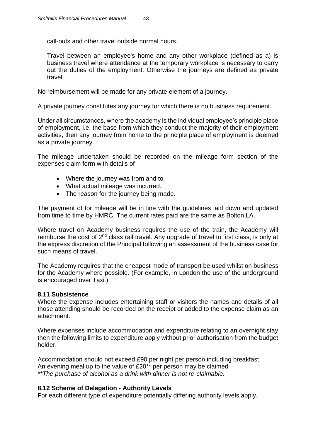call-outs and other travel outside normal hours.

Travel between an employee's home and any other workplace (defined as a) is business travel where attendance at the temporary workplace is necessary to carry out the duties of the employment. Otherwise the journeys are defined as [private](http://www.hmrc.gov.uk/employers/ebik/ebik3/business-travel-09.htm)  [travel.](http://www.hmrc.gov.uk/employers/ebik/ebik3/business-travel-09.htm)

No reimbursement will be made for any private element of a journey.

A private journey constitutes any journey for which there is no business requirement.

Under all circumstances, where the academy is the individual employee's principle place of employment, i.e. the base from which they conduct the majority of their employment activities, then any journey from home to the principle place of employment is deemed as a private journey.

The mileage undertaken should be recorded on the mileage form section of the expenses claim form with details of

- Where the journey was from and to.
- What actual mileage was incurred.
- The reason for the journey being made.

The payment of for mileage will be in line with the guidelines laid down and updated from time to time by HMRC. The current rates paid are the same as Bolton LA.

Where travel on Academy business requires the use of the train, the Academy will reimburse the cost of 2<sup>nd</sup> class rail travel. Any upgrade of travel to first class, is only at the express discretion of the Principal following an assessment of the business case for such means of travel.

The Academy requires that the cheapest mode of transport be used whilst on business for the Academy where possible. (For example, in London the use of the underground is encouraged over Taxi.)

# **8.11 Subsistence**

Where the expense includes entertaining staff or visitors the names and details of all those attending should be recorded on the receipt or added to the expense claim as an attachment.

Where expenses include accommodation and expenditure relating to an overnight stay then the following limits to expenditure apply without prior authorisation from the budget holder.

Accommodation should not exceed £90 per night per person including breakfast An evening meal up to the value of £20\*\* per person may be claimed *\*\*The purchase of alcohol as a drink with dinner is not re-claimable.*

# **8.12 Scheme of Delegation - Authority Levels**

For each different type of expenditure potentially differing authority levels apply.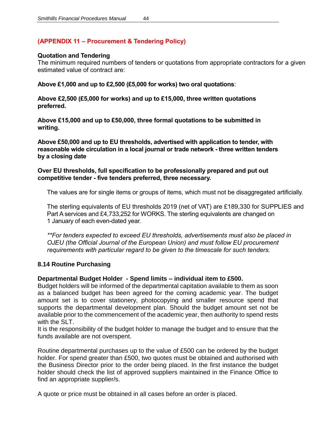# **(APPENDIX 11 – Procurement & Tendering Policy)**

#### **Quotation and Tendering**

The minimum required numbers of tenders or quotations from appropriate contractors for a given estimated value of contract are:

**Above £1,000 and up to £2,500 (£5,000 for works) two oral quotations**:

**Above £2,500 (£5,000 for works) and up to £15,000, three written quotations preferred.** 

**Above £15,000 and up to £50,000, three formal quotations to be submitted in writing.** 

**Above £50,000 and up to EU thresholds, advertised with application to tender, with reasonable wide circulation in a local journal or trade network - three written tenders by a closing date**

#### **Over EU thresholds, full specification to be professionally prepared and put out competitive tender - five tenders preferred, three necessary.**

The values are for single items or groups of items, which must not be disaggregated artificially.

The sterling equivalents of EU thresholds 2019 (net of VAT) are £189,330 for SUPPLIES and Part A services and £4,733,252 for WORKS. The sterling equivalents are changed on 1 January of each even-dated year.

*\*\*For tenders expected to exceed EU thresholds, advertisements must also be placed in OJEU (the Official Journal of the European Union) and must follow EU procurement requirements with particular regard to be given to the timescale for such tenders.* 

#### **8.14 Routine Purchasing**

#### **Departmental Budget Holder - Spend limits – individual item to £500.**

Budget holders will be informed of the departmental capitation available to them as soon as a balanced budget has been agreed for the coming academic year. The budget amount set is to cover stationery, photocopying and smaller resource spend that supports the departmental development plan. Should the budget amount set not be available prior to the commencement of the academic year, then authority to spend rests with the SLT.

It is the responsibility of the budget holder to manage the budget and to ensure that the funds available are not overspent.

Routine departmental purchases up to the value of £500 can be ordered by the budget holder. For spend greater than £500, two quotes must be obtained and authorised with the Business Director prior to the order being placed. In the first instance the budget holder should check the list of approved suppliers maintained in the Finance Office to find an appropriate supplier/s.

A quote or price must be obtained in all cases before an order is placed.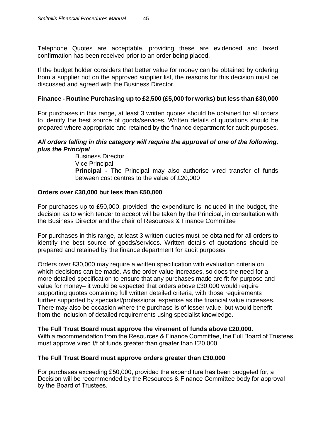Telephone Quotes are acceptable, providing these are evidenced and faxed confirmation has been received prior to an order being placed.

If the budget holder considers that better value for money can be obtained by ordering from a supplier not on the approved supplier list, the reasons for this decision must be discussed and agreed with the Business Director.

# **Finance - Routine Purchasing up to £2,500 (£5,000 for works) but less than £30,000**

For purchases in this range, at least 3 written quotes should be obtained for all orders to identify the best source of goods/services. Written details of quotations should be prepared where appropriate and retained by the finance department for audit purposes.

#### *All orders falling in this category will require the approval of one of the following, plus the Principal*

Business Director Vice Principal **Principal -** The Principal may also authorise vired transfer of funds between cost centres to the value of £20,000

#### **Orders over £30,000 but less than £50,000**

For purchases up to £50,000, provided the expenditure is included in the budget, the decision as to which tender to accept will be taken by the Principal, in consultation with the Business Director and the chair of Resources & Finance Committee

For purchases in this range, at least 3 written quotes must be obtained for all orders to identify the best source of goods/services. Written details of quotations should be prepared and retained by the finance department for audit purposes

Orders over £30,000 may require a written specification with evaluation criteria on which decisions can be made. As the order value increases, so does the need for a more detailed specification to ensure that any purchases made are fit for purpose and value for money– it would be expected that orders above £30,000 would require supporting quotes containing full written detailed criteria, with those requirements further supported by specialist/professional expertise as the financial value increases. There may also be occasion where the purchase is of lesser value, but would benefit from the inclusion of detailed requirements using specialist knowledge.

#### **The Full Trust Board must approve the virement of funds above £20,000.**

With a recommendation from the Resources & Finance Committee, the Full Board of Trustees must approve vired t/f of funds greater than greater than £20,000

#### **The Full Trust Board must approve orders greater than £30,000**

For purchases exceeding £50,000, provided the expenditure has been budgeted for, a Decision will be recommended by the Resources & Finance Committee body for approval by the Board of Trustees.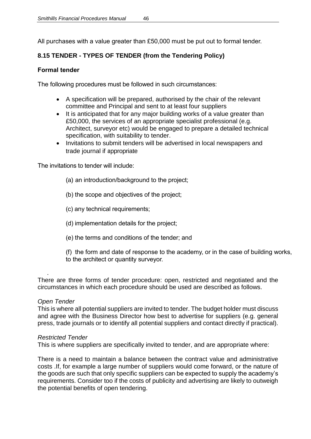All purchases with a value greater than £50,000 must be put out to formal tender.

# **8.15 TENDER - TYPES OF TENDER (from the Tendering Policy)**

# **Formal tender**

The following procedures must be followed in such circumstances:

- A specification will be prepared, authorised by the chair of the relevant committee and Principal and sent to at least four suppliers
- It is anticipated that for any major building works of a value greater than £50,000, the services of an appropriate specialist professional (e.g. Architect, surveyor etc) would be engaged to prepare a detailed technical specification, with suitability to tender.
- Invitations to submit tenders will be advertised in local newspapers and trade journal if appropriate

The invitations to tender will include:

- (a) an introduction/background to the project;
- (b) the scope and objectives of the project;
- (c) any technical requirements;
- (d) implementation details for the project;
- (e) the terms and conditions of the tender; and
- (f) the form and date of response to the academy, or in the case of building works, to the architect or quantity surveyor.

There are three forms of tender procedure: open, restricted and negotiated and the circumstances in which each procedure should be used are described as follows.

#### *Open Tender*

.

This is where all potential suppliers are invited to tender. The budget holder must discuss and agree with the Business Director how best to advertise for suppliers (e.g. general press, trade journals or to identify all potential suppliers and contact directly if practical).

#### *Restricted Tender*

This is where suppliers are specifically invited to tender, and are appropriate where:

There is a need to maintain a balance between the contract value and administrative costs .If, for example a large number of suppliers would come forward, or the nature of the goods are such that only specific suppliers can be expected to supply the academy's requirements. Consider too if the costs of publicity and advertising are likely to outweigh the potential benefits of open tendering.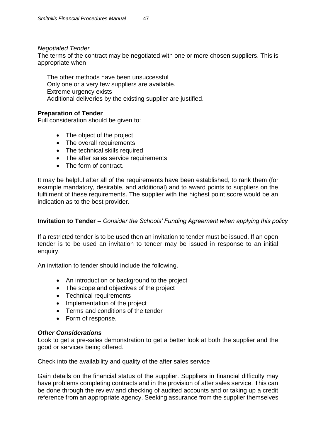#### *Negotiated Tender*

The terms of the contract may be negotiated with one or more chosen suppliers. This is appropriate when

The other methods have been unsuccessful Only one or a very few suppliers are available. Extreme urgency exists Additional deliveries by the existing supplier are justified.

# **Preparation of Tender**

Full consideration should be given to:

- The object of the project
- The overall requirements
- The technical skills required
- The after sales service requirements
- The form of contract.

It may be helpful after all of the requirements have been established, to rank them (for example mandatory, desirable, and additional) and to award points to suppliers on the fulfilment of these requirements. The supplier with the highest point score would be an indication as to the best provider.

### **Invitation to Tender –** *Consider the Schools' Funding Agreement when applying this policy*

If a restricted tender is to be used then an invitation to tender must be issued. If an open tender is to be used an invitation to tender may be issued in response to an initial enquiry.

An invitation to tender should include the following.

- An introduction or background to the project
- The scope and objectives of the project
- Technical requirements
- Implementation of the project
- Terms and conditions of the tender
- Form of response.

#### *Other Considerations*

Look to get a pre-sales demonstration to get a better look at both the supplier and the good or services being offered.

Check into the availability and quality of the after sales service

Gain details on the financial status of the supplier. Suppliers in financial difficulty may have problems completing contracts and in the provision of after sales service. This can be done through the review and checking of audited accounts and or taking up a credit reference from an appropriate agency. Seeking assurance from the supplier themselves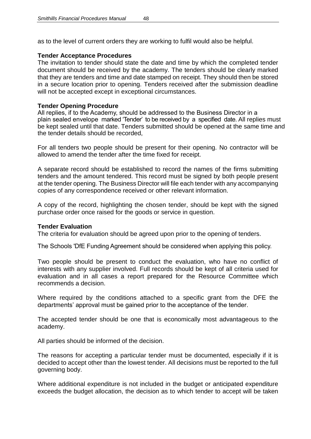as to the level of current orders they are working to fulfil would also be helpful.

#### **Tender Acceptance Procedures**

The invitation to tender should state the date and time by which the completed tender document should be received by the academy. The tenders should be clearly marked that they are tenders and time and date stamped on receipt. They should then be stored in a secure location prior to opening. Tenders received after the submission deadline will not be accepted except in exceptional circumstances.

#### **Tender Opening Procedure**

All replies, if to the Academy, should be addressed to the Business Director in a plain sealed envelope marked 'Tender' to be received by a specified date. All replies must be kept sealed until that date. Tenders submitted should be opened at the same time and the tender details should be recorded,

For all tenders two people should be present for their opening. No contractor will be allowed to amend the tender after the time fixed for receipt.

A separate record should be established to record the names of the firms submitting tenders and the amount tendered. This record must be signed by both people present at the tender opening. The Business Director will file each tender with any accompanying copies of any correspondence received or other relevant information.

A copy of the record, highlighting the chosen tender, should be kept with the signed purchase order once raised for the goods or service in question.

#### **Tender Evaluation**

The criteria for evaluation should be agreed upon prior to the opening of tenders.

The Schools 'DfE Funding Agreement should be considered when applying this policy.

Two people should be present to conduct the evaluation, who have no conflict of interests with any supplier involved. Full records should be kept of all criteria used for evaluation and in all cases a report prepared for the Resource Committee which recommends a decision.

Where required by the conditions attached to a specific grant from the DFE the departments' approval must be gained prior to the acceptance of the tender.

The accepted tender should be one that is economically most advantageous to the academy.

All parties should be informed of the decision.

The reasons for accepting a particular tender must be documented, especially if it is decided to accept other than the lowest tender. All decisions must be reported to the full governing body.

Where additional expenditure is not included in the budget or anticipated expenditure exceeds the budget allocation, the decision as to which tender to accept will be taken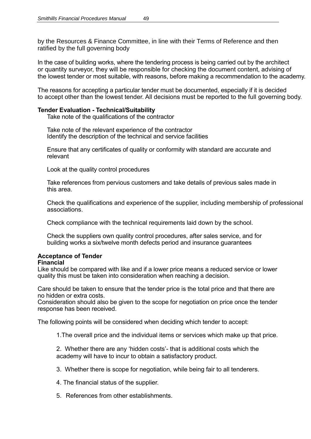by the Resources & Finance Committee, in line with their Terms of Reference and then ratified by the full governing body

In the case of building works, where the tendering process is being carried out by the architect or quantity surveyor, they will be responsible for checking the document content, advising of the lowest tender or most suitable, with reasons, before making a recommendation to the academy.

The reasons for accepting a particular tender must be documented, especially if it is decided to accept other than the lowest tender. All decisions must be reported to the full governing body.

#### **Tender Evaluation - Technical/Suitability**

Take note of the qualifications of the contractor

Take note of the relevant experience of the contractor Identify the description of the technical and service facilities

Ensure that any certificates of quality or conformity with standard are accurate and relevant

Look at the quality control procedures

Take references from pervious customers and take details of previous sales made in this area.

Check the qualifications and experience of the supplier, including membership of professional associations.

Check compliance with the technical requirements laid down by the school.

Check the suppliers own quality control procedures, after sales service, and for building works a six/twelve month defects period and insurance quarantees

#### **Acceptance of Tender**

#### **Financial**

Like should be compared with like and if a lower price means a reduced service or lower quality this must be taken into consideration when reaching a decision.

Care should be taken to ensure that the tender price is the total price and that there are no hidden or extra costs.

Consideration should also be given to the scope for negotiation on price once the tender response has been received.

The following points will be considered when deciding which tender to accept:

1.The overall price and the individual items or services which make up that price.

2. Whether there are any 'hidden costs'- that is additional costs which the academy will have to incur to obtain a satisfactory product.

- 3. Whether there is scope for negotiation, while being fair to all tenderers.
- 4. The financial status of the supplier.
- 5. References from other establishments.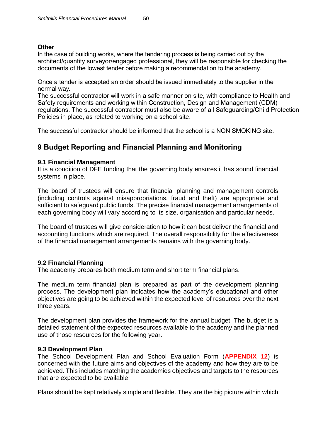#### **Other**

In the case of building works, where the tendering process is being carried out by the architect/quantity surveyor/engaged professional, they will be responsible for checking the documents of the lowest tender before making a recommendation to the academy.

Once a tender is accepted an order should be issued immediately to the supplier in the normal way.

The successful contractor will work in a safe manner on site, with compliance to Health and Safety requirements and working within Construction, Design and Management (CDM) regulations. The successful contractor must also be aware of all Safeguarding/Child Protection Policies in place, as related to working on a school site.

The successful contractor should be informed that the school is a NON SMOKING site.

# **9 Budget Reporting and Financial Planning and Monitoring**

#### **9.1 Financial Management**

It is a condition of DFE funding that the governing body ensures it has sound financial systems in place.

The board of trustees will ensure that financial planning and management controls (including controls against misappropriations, fraud and theft) are appropriate and sufficient to safeguard public funds. The precise financial management arrangements of each governing body will vary according to its size, organisation and particular needs.

The board of trustees will give consideration to how it can best deliver the financial and accounting functions which are required. The overall responsibility for the effectiveness of the financial management arrangements remains with the governing body.

#### **9.2 Financial Planning**

The academy prepares both medium term and short term financial plans.

The medium term financial plan is prepared as part of the development planning process. The development plan indicates how the academy's educational and other objectives are going to be achieved within the expected level of resources over the next three years.

The development plan provides the framework for the annual budget. The budget is a detailed statement of the expected resources available to the academy and the planned use of those resources for the following year.

#### **9.3 Development Plan**

The School Development Plan and School Evaluation Form (**APPENDIX 12**) is concerned with the future aims and objectives of the academy and how they are to be achieved. This includes matching the academies objectives and targets to the resources that are expected to be available.

Plans should be kept relatively simple and flexible. They are the big picture within which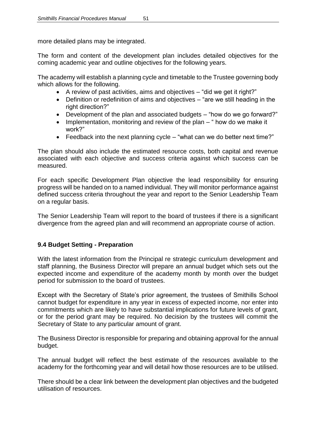more detailed plans may be integrated.

The form and content of the development plan includes detailed objectives for the coming academic year and outline objectives for the following years.

The academy will establish a planning cycle and timetable to the Trustee governing body which allows for the following.

- A review of past activities, aims and objectives "did we get it right?"
- Definition or redefinition of aims and objectives "are we still heading in the right direction?"
- Development of the plan and associated budgets "how do we go forward?"
- Implementation, monitoring and review of the plan " how do we make it work?"
- Feedback into the next planning cycle "what can we do better next time?"

The plan should also include the estimated resource costs, both capital and revenue associated with each objective and success criteria against which success can be measured.

For each specific Development Plan objective the lead responsibility for ensuring progress will be handed on to a named individual. They will monitor performance against defined success criteria throughout the year and report to the Senior Leadership Team on a regular basis.

The Senior Leadership Team will report to the board of trustees if there is a significant divergence from the agreed plan and will recommend an appropriate course of action.

# **9.4 Budget Setting - Preparation**

With the latest information from the Principal re strategic curriculum development and staff planning, the Business Director will prepare an annual budget which sets out the expected income and expenditure of the academy month by month over the budget period for submission to the board of trustees.

Except with the Secretary of State's prior agreement, the trustees of Smithills School cannot budget for expenditure in any year in excess of expected income, nor enter into commitments which are likely to have substantial implications for future levels of grant, or for the period grant may be required. No decision by the trustees will commit the Secretary of State to any particular amount of grant.

The Business Director is responsible for preparing and obtaining approval for the annual budget.

The annual budget will reflect the best estimate of the resources available to the academy for the forthcoming year and will detail how those resources are to be utilised.

There should be a clear link between the development plan objectives and the budgeted utilisation of resources.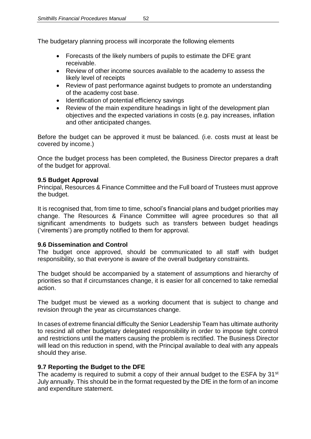The budgetary planning process will incorporate the following elements

- Forecasts of the likely numbers of pupils to estimate the DFE grant receivable.
- Review of other income sources available to the academy to assess the likely level of receipts
- Review of past performance against budgets to promote an understanding of the academy cost base.
- Identification of potential efficiency savings
- Review of the main expenditure headings in light of the development plan objectives and the expected variations in costs (e.g. pay increases, inflation and other anticipated changes.

Before the budget can be approved it must be balanced. (i.e. costs must at least be covered by income.)

Once the budget process has been completed, the Business Director prepares a draft of the budget for approval.

# **9.5 Budget Approval**

Principal, Resources & Finance Committee and the Full board of Trustees must approve the budget.

It is recognised that, from time to time, school's financial plans and budget priorities may change. The Resources & Finance Committee will agree procedures so that all significant amendments to budgets such as transfers between budget headings ('virements') are promptly notified to them for approval.

#### **9.6 Dissemination and Control**

The budget once approved, should be communicated to all staff with budget responsibility, so that everyone is aware of the overall budgetary constraints.

The budget should be accompanied by a statement of assumptions and hierarchy of priorities so that if circumstances change, it is easier for all concerned to take remedial action.

The budget must be viewed as a working document that is subject to change and revision through the year as circumstances change.

In cases of extreme financial difficulty the Senior Leadership Team has ultimate authority to rescind all other budgetary delegated responsibility in order to impose tight control and restrictions until the matters causing the problem is rectified. The Business Director will lead on this reduction in spend, with the Principal available to deal with any appeals should they arise.

#### **9.7 Reporting the Budget to the DFE**

The academy is required to submit a copy of their annual budget to the ESFA by 31<sup>st</sup> July annually. This should be in the format requested by the DfE in the form of an income and expenditure statement.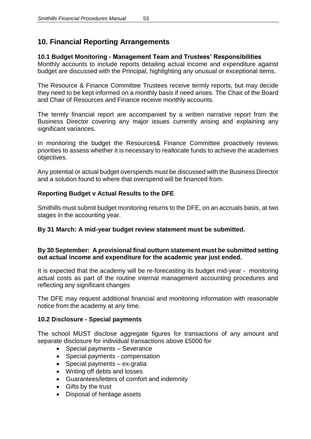# **10. Financial Reporting Arrangements**

# **10.1 Budget Monitoring - Management Team and Trustees' Responsibilities**

Monthly accounts to include reports detailing actual income and expenditure against budget are discussed with the Principal, highlighting any unusual or exceptional items.

The Resource & Finance Committee Trustees receive termly reports, but may decide they need to be kept informed on a monthly basis if need arises. The Chair of the Board and Chair of Resources and Finance receive monthly accounts.

The termly financial report are accompanied by a written narrative report from the Business Director covering any major issues currently arising and explaining any significant variances.

In monitoring the budget the Resources& Finance Committee proactively reviews priorities to assess whether it is necessary to reallocate funds to achieve the academies objectives.

Any potential or actual budget overspends must be discussed with the Business Director and a solution found to where that overspend will be financed from.

# **Reporting Budget v Actual Results to the DFE**

Smithills must submit budget monitoring returns to the DFE, on an accruals basis, at two stages in the accounting year.

# **By 31 March: A mid-year budget review statement must be submitted.**

# **By 30 September: A provisional final outturn statement must be submitted setting out actual income and expenditure for the academic year just ended.**

It is expected that the academy will be re-forecasting its budget mid-year - monitoring actual costs as part of the routine internal management accounting procedures and reflecting any significant changes

The DFE may request additional financial and monitoring information with reasonable notice from the academy at any time.

#### **10.2 D**i**sclosure - Special payments**

The school MUST disclose aggregate figures for transactions of any amount and separate disclosure for individual transactions above £5000 for

- Special payments Severance
- Special payments compensation
- Special payments ex-gratia
- Writing off debts and losses
- Guarantees/letters of comfort and indemnity
- Gifts by the trust
- Disposal of heritage assets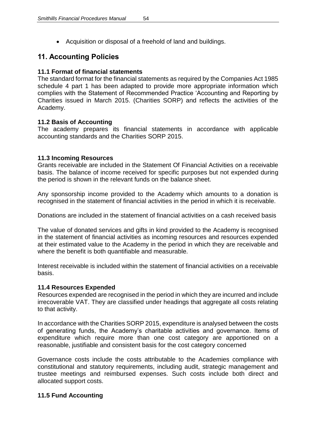• Acquisition or disposal of a freehold of land and buildings.

# **11. Accounting Policies**

### **11.1 Format of financial statements**

The standard format for the financial statements as required by the Companies Act 1985 schedule 4 part 1 has been adapted to provide more appropriate information which complies with the Statement of Recommended Practice 'Accounting and Reporting by Charities issued in March 2015. (Charities SORP) and reflects the activities of the Academy.

# **11.2 Basis of Accounting**

The academy prepares its financial statements in accordance with applicable accounting standards and the Charities SORP 2015.

# **11.3 Incoming Resources**

Grants receivable are included in the Statement Of Financial Activities on a receivable basis. The balance of income received for specific purposes but not expended during the period is shown in the relevant funds on the balance sheet.

Any sponsorship income provided to the Academy which amounts to a donation is recognised in the statement of financial activities in the period in which it is receivable.

Donations are included in the statement of financial activities on a cash received basis

The value of donated services and gifts in kind provided to the Academy is recognised in the statement of financial activities as incoming resources and resources expended at their estimated value to the Academy in the period in which they are receivable and where the benefit is both quantifiable and measurable.

Interest receivable is included within the statement of financial activities on a receivable basis.

#### **11.4 Resources Expended**

Resources expended are recognised in the period in which they are incurred and include irrecoverable VAT. They are classified under headings that aggregate all costs relating to that activity.

In accordance with the Charities SORP 2015, expenditure is analysed between the costs of generating funds, the Academy's charitable activities and governance. Items of expenditure which require more than one cost category are apportioned on a reasonable, justifiable and consistent basis for the cost category concerned

Governance costs include the costs attributable to the Academies compliance with constitutional and statutory requirements, including audit, strategic management and trustee meetings and reimbursed expenses. Such costs include both direct and allocated support costs.

# **11.5 Fund Accounting**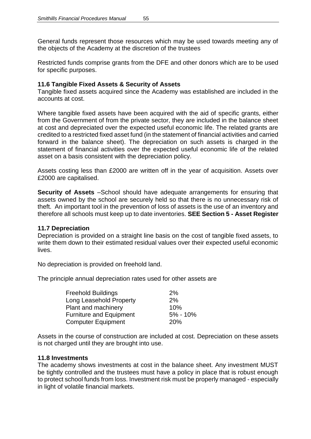General funds represent those resources which may be used towards meeting any of the objects of the Academy at the discretion of the trustees

Restricted funds comprise grants from the DFE and other donors which are to be used for specific purposes.

#### **11.6 Tangible Fixed Assets & Security of Assets**

Tangible fixed assets acquired since the Academy was established are included in the accounts at cost.

Where tangible fixed assets have been acquired with the aid of specific grants, either from the Government of from the private sector, they are included in the balance sheet at cost and depreciated over the expected useful economic life. The related grants are credited to a restricted fixed asset fund (in the statement of financial activities and carried forward in the balance sheet). The depreciation on such assets is charged in the statement of financial activities over the expected useful economic life of the related asset on a basis consistent with the depreciation policy.

Assets costing less than £2000 are written off in the year of acquisition. Assets over £2000 are capitalised.

**Security of Assets** –School should have adequate arrangements for ensuring that assets owned by the school are securely held so that there is no unnecessary risk of theft. An important tool in the prevention of loss of assets is the use of an inventory and therefore all schools must keep up to date inventories. **SEE Section 5 - Asset Register**

#### **11.7 Depreciation**

Depreciation is provided on a straight line basis on the cost of tangible fixed assets, to write them down to their estimated residual values over their expected useful economic lives.

No depreciation is provided on freehold land.

The principle annual depreciation rates used for other assets are

| <b>Freehold Buildings</b>      | 2%           |
|--------------------------------|--------------|
| Long Leasehold Property        | 2%           |
| Plant and machinery            | 10%          |
| <b>Furniture and Equipment</b> | $5\% - 10\%$ |
| <b>Computer Equipment</b>      | <b>20%</b>   |

Assets in the course of construction are included at cost. Depreciation on these assets is not charged until they are brought into use.

#### **11.8 Investments**

The academy shows investments at cost in the balance sheet. Any investment MUST be tightly controlled and the trustees must have a policy in place that is robust enough to protect school funds from loss. Investment risk must be properly managed - especially in light of volatile financial markets.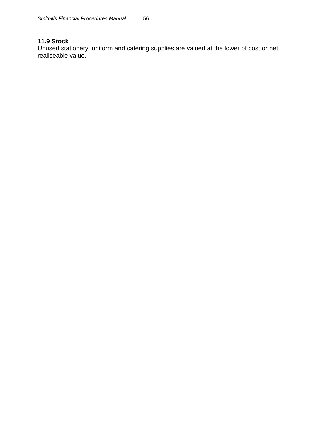# **11.9 Stock**

Unused stationery, uniform and catering supplies are valued at the lower of cost or net realiseable value.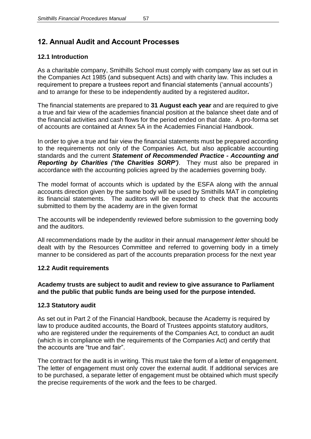# **12. Annual Audit and Account Processes**

# **12.1 Introduction**

As a charitable company, Smithills School must comply with company law as set out in the Companies Act 1985 (and subsequent Acts) and with charity law. This includes a requirement to prepare a trustees report and financial statements ('annual accounts') and to arrange for these to be independently audited by a registered auditor**.**

The financial statements are prepared to **31 August each year** and are required to give a true and fair view of the academies financial position at the balance sheet date and of the financial activities and cash flows for the period ended on that date. A pro-forma set of accounts are contained at Annex 5A in the Academies Financial Handbook.

In order to give a true and fair view the financial statements must be prepared according to the requirements not only of the Companies Act, but also applicable accounting standards and the current *Statement of Recommended Practice - Accounting and Reporting by Charities ('the Charities SORP')*. They must also be prepared in accordance with the accounting policies agreed by the academies governing body.

The model format of accounts which is updated by the ESFA along with the annual accounts direction given by the same body will be used by Smithills MAT in completing its financial statements. The auditors will be expected to check that the accounts submitted to them by the academy are in the given format

The accounts will be independently reviewed before submission to the governing body and the auditors.

All recommendations made by the auditor in their annual *management letter* should be dealt with by the Resources Committee and referred to governing body in a timely manner to be considered as part of the accounts preparation process for the next year

# **12.2 Audit requirements**

#### **Academy trusts are subject to audit and review to give assurance to Parliament and the public that public funds are being used for the purpose intended.**

# **12.3 Statutory audit**

As set out in Part 2 of the Financial Handbook, because the Academy is required by law to produce audited accounts, the Board of Trustees appoints statutory auditors, who are registered under the requirements of the Companies Act, to conduct an audit (which is in compliance with the requirements of the Companies Act) and certify that the accounts are "true and fair".

The contract for the audit is in writing. This must take the form of a letter of engagement. The letter of engagement must only cover the external audit. If additional services are to be purchased, a separate letter of engagement must be obtained which must specify the precise requirements of the work and the fees to be charged.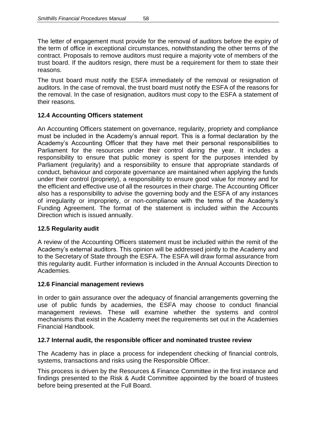The letter of engagement must provide for the removal of auditors before the expiry of the term of office in exceptional circumstances, notwithstanding the other terms of the contract. Proposals to remove auditors must require a majority vote of members of the trust board. If the auditors resign, there must be a requirement for them to state their reasons.

The trust board must notify the ESFA immediately of the removal or resignation of auditors. In the case of removal, the trust board must notify the ESFA of the reasons for the removal. In the case of resignation, auditors must copy to the ESFA a statement of their reasons.

# **12.4 Accounting Officers statement**

An Accounting Officers statement on governance, regularity, propriety and compliance must be included in the Academy's annual report. This is a formal declaration by the Academy's Accounting Officer that they have met their personal responsibilities to Parliament for the resources under their control during the year. It includes a responsibility to ensure that public money is spent for the purposes intended by Parliament (regularity) and a responsibility to ensure that appropriate standards of conduct, behaviour and corporate governance are maintained when applying the funds under their control (propriety), a responsibility to ensure good value for money and for the efficient and effective use of all the resources in their charge. The Accounting Officer also has a responsibility to advise the governing body and the ESFA of any instances of irregularity or impropriety, or non-compliance with the terms of the Academy's Funding Agreement. The format of the statement is included within the Accounts Direction which is issued annually.

# **12.5 Regularity audit**

A review of the Accounting Officers statement must be included within the remit of the Academy's external auditors. This opinion will be addressed jointly to the Academy and to the Secretary of State through the ESFA. The ESFA will draw formal assurance from this regularity audit. Further information is included in the Annual Accounts Direction to Academies.

#### **12.6 Financial management reviews**

In order to gain assurance over the adequacy of financial arrangements governing the use of public funds by academies, the ESFA may choose to conduct financial management reviews. These will examine whether the systems and control mechanisms that exist in the Academy meet the requirements set out in the Academies Financial Handbook.

#### **12.7 Internal audit, the responsible officer and nominated trustee review**

The Academy has in place a process for independent checking of financial controls, systems, transactions and risks using the Responsible Officer.

This process is driven by the Resources & Finance Committee in the first instance and findings presented to the Risk & Audit Committee appointed by the board of trustees before being presented at the Full Board.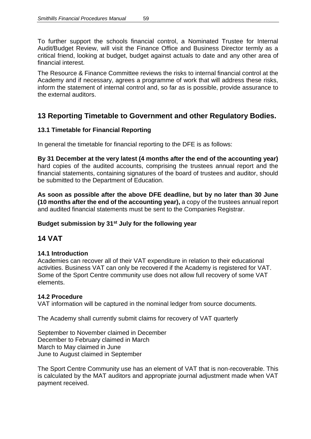To further support the schools financial control, a Nominated Trustee for Internal Audit/Budget Review, will visit the Finance Office and Business Director termly as a critical friend, looking at budget, budget against actuals to date and any other area of financial interest.

The Resource & Finance Committee reviews the risks to internal financial control at the Academy and if necessary, agrees a programme of work that will address these risks, inform the statement of internal control and, so far as is possible, provide assurance to the external auditors.

# **13 Reporting Timetable to Government and other Regulatory Bodies.**

# **13.1 Timetable for Financial Reporting**

In general the timetable for financial reporting to the DFE is as follows:

**By 31 December at the very latest (4 months after the end of the accounting year)** hard copies of the audited accounts, comprising the trustees annual report and the financial statements, containing signatures of the board of trustees and auditor, should be submitted to the Department of Education.

**As soon as possible after the above DFE deadline, but by no later than 30 June (10 months after the end of the accounting year),** a copy of the trustees annual report and audited financial statements must be sent to the Companies Registrar.

# **Budget submission by 31st July for the following year**

# **14 VAT**

# **14.1 Introduction**

Academies can recover all of their VAT expenditure in relation to their educational activities. Business VAT can only be recovered if the Academy is registered for VAT. Some of the Sport Centre community use does not allow full recovery of some VAT elements.

# **14.2 Procedure**

VAT information will be captured in the nominal ledger from source documents.

The Academy shall currently submit claims for recovery of VAT quarterly

September to November claimed in December December to February claimed in March March to May claimed in June June to August claimed in September

The Sport Centre Community use has an element of VAT that is non-recoverable. This is calculated by the MAT auditors and appropriate journal adjustment made when VAT payment received.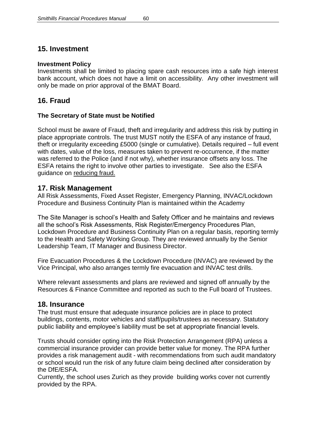# **15. Investment**

#### **Investment Policy**

Investments shall be limited to placing spare cash resources into a safe high interest bank account, which does not have a limit on accessibility. Any other investment will only be made on prior approval of the BMAT Board.

# **16. Fraud**

# **The Secretary of State must be Notified**

School must be aware of Fraud, theft and irregularity and address this risk by putting in place appropriate controls. The trust MUST notify the ESFA of any instance of fraud, theft or irregularity exceeding £5000 (single or cumulative). Details required – full event with dates, value of the loss, measures taken to prevent re-occurrence, if the matter was referred to the Police (and if not why), whether insurance offsets any loss. The ESFA retains the right to involve other parties to investigate. See also the ESFA guidance on reducing fraud.

# **17. Risk Management**

All Risk Assessments, Fixed Asset Register, Emergency Planning, INVAC/Lockdown Procedure and Business Continuity Plan is maintained within the Academy

The Site Manager is school's Health and Safety Officer and he maintains and reviews all the school's Risk Assessments, Risk Register/Emergency Procedures Plan, Lockdown Procedure and Business Continuity Plan on a regular basis, reporting termly to the Health and Safety Working Group. They are reviewed annually by the Senior Leadership Team, IT Manager and Business Director.

Fire Evacuation Procedures & the Lockdown Procedure (INVAC) are reviewed by the Vice Principal, who also arranges termly fire evacuation and INVAC test drills.

Where relevant assessments and plans are reviewed and signed off annually by the Resources & Finance Committee and reported as such to the Full board of Trustees.

# **18. Insurance**

The trust must ensure that adequate insurance policies are in place to protect buildings, contents, motor vehicles and staff/pupils/trustees as necessary. Statutory public liability and employee's liability must be set at appropriate financial levels.

Trusts should consider opting into the Risk Protection Arrangement (RPA) unless a commercial insurance provider can provide better value for money. The RPA further provides a risk management audit - with recommendations from such audit mandatory or school would run the risk of any future claim being declined after consideration by the DfE/ESFA.

Currently, the school uses Zurich as they provide building works cover not currently provided by the RPA.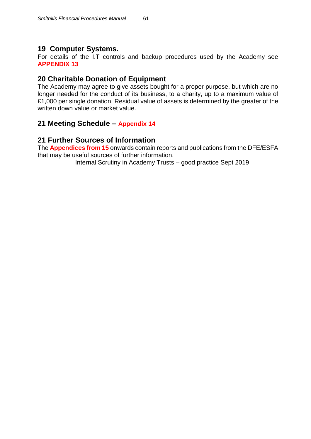# **19 Computer Systems.**

For details of the I.T controls and backup procedures used by the Academy see **APPENDIX 13**

# **20 Charitable Donation of Equipment**

The Academy may agree to give assets bought for a proper purpose, but which are no longer needed for the conduct of its business, to a charity, up to a maximum value of £1,000 per single donation. Residual value of assets is determined by the greater of the written down value or market value.

# **21 Meeting Schedule – Appendix 14**

# **21 Further Sources of Information**

The **Appendices from 15** onwards contain reports and publications from the DFE/ESFA that may be useful sources of further information.

Internal Scrutiny in Academy Trusts – good practice Sept 2019